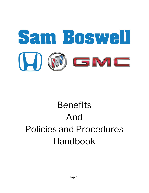

# **Benefits** And Policies and Procedures Handbook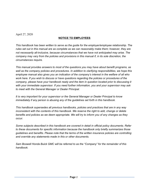April 27, 2020

#### **NOTICE TO EMPLOYEES**

*This handbook has been written to serve as the guide for the employer/employee relationship. The rules set out in this manual are as complete as we can reasonably make them; however, they are not necessarily all-inclusive, because circumstances that we have not anticipated may arise. The company may vary from the policies and provisions in this manual if, in its sole discretion, the circumstances require.*

*This manual provides answers to most of the questions you may have about benefit programs, as well as the company policies and procedures. In addition to clarifying responsibilities, we hope this employee manual also gives you an indication of the company's interest in the welfare of all who work here. If you wish to discuss or have questions regarding the policies or procedures of the company, please have your handbook ready and the item in question located prior to discussing it with your immediate supervisor. If you need further information, you and your supervisor may ask to meet with the General Manager or Dealer Principal.*

*It is very important for your supervisor or the General Manager or Dealer Principal to know immediately if any person is abusing any of the guidelines set forth in this handbook.*

*This handbook supersedes all previous handbooks, policies and practices that are in any way inconsistent with the contents of this handbook. We reserve the right to add, change or delete benefits and policies as we deem appropriate. We will try to inform you of any changes as they occur.*

*Some subjects described in this handbook are covered in detail in official policy documents. Refer to these documents for specific information because the handbook only briefly summarizes those guidelines and benefits. Please note that the terms of the written insurance policies are controlling and override any statements made in this or other documents.*

*Sam Boswell Honda Buick GMC will be referred to as the "Company" for the remainder of this handbook.*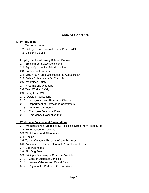# **Table of Contents**

#### 1. **Introduction**

- 1.1. Welcome Letter
- 1.2. History of Sam Boswell Honda Buick GMC
- 1.3. Mission / Values

#### 2. **Employment and Hiring Related Policies**

- 2.1. Employment Status Definitions
- 2.2. Equal Opportunity / Discrimination
- 2.3. Harassment Policies
- 2.4. Drug Free Workplace Substance Abuse Policy
- 2.5. Safety Policy /Injury On The Job
- 2.6. Workplace Safety
- 2.7. Firearms and Weapons
- 2.8. Teen Worker Safety
- 2.9. Hiring From Within
- 2.10. Outside Applications
- 2.11. Background and Reference Checks
- 2.12. Department of Corrections Contractors
- 2.13. Legal Requirements
- 2.14. Employee Personnel Files
- 2.15. Emergency Evacuation Plan

#### 3. **Workplace Policies and Expectations**

- 3.1. Warnings for Failure to Follow Policies & Disciplinary Procedures
- 3.2. Performance Evaluations
- 3.3. Work Hours and Attendance
- 3.4. Tipping
- 3.5. Taking Company Property off the Premises
- 3.6. Authority to Enter into Contracts / Purchase Orders
- 3.7. Gas Purchases
- 3.8. Bird Dog Fees
- 3.9. Driving a Company or Customer Vehicle
- 3.10. Care of Customer Vehicles
- 3.11. Loaner Vehicles and Rental Cars
- 3.12. Payment for Parts and Service Work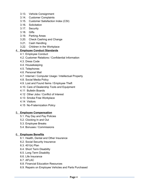- 3.13. Vehicle Consignment
- 3.14. Customer Complaints
- 3.15. Customer Satisfaction Index (CSI)
- 3.16. Solicitation
- 3.17. Security
- 3.18. Gifts
- 3.19. Parking Areas
- 3.20. Check Cashing and Change
- 3.21. Cash Handling
- 3.22. Children in the Workplace

#### 4. **Employee Conduct Standards**

- 4.1. Employee Conduct
- 4.2. Customer Relations / Confidential Information
- 4.3. Dress Code
- 4.4. Housekeeping
- 4.5. Telephones
- 4.6. Personal Mail
- 4.7. Internet / Computer Usage / Intellectual Property
- 4.8. Social Media Policy
- 4.9. Lost and Found Items / Employee Theft
- 4.10. Care of Dealership Tools and Equipment
- 4.11 Bulletin Boards
- 4.12 Other Jobs / Conflict of Interest
- 4.13 Smoke Free Workplace
- 4.14 Visitors
- 4.15 No-Fraternization Policy

#### 5. **Employee Compensation**

- 5.1. Pay Day and Pay Policies
- 5.2. Clocking In and Out
- 5.3. Employee Breaks
- 5.4. Bonuses / Commissions

#### 6. **Employee Benefits**

- 6.1. Health, Dental and Other Insurance
- 6.2. Social Security Insurance
- 6.3. 401(k) Plan
- 6.4. Short Term Disability
- 6.5. Long Term Disability
- 6.6. Life Insurance
- 6.7. AFLAC
- 6.8. Financial Education Resources
- 6.9. Repairs on Employee Vehicles and Parts Purchased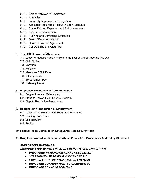- 6.10. Sale of Vehicles to Employees
- 6.11. Amenities
- 6.12. Longevity Appreciation Recognition
- 6.13. Accounts Receivable Account / Open Accounts
- 6.14. Travel Related Expenses and Reimbursements
- 6.15. Tuition Reimbursement
- 6.16. Training and Continuing Education
- 6.17. Demo / Demo Allowance
- 6.18. Demo Policy and Agreement
- 6.19. Car Detailing and Clean Up

#### 7. **Time Off / Leaves of Absences**

- 7.1. Leave Without Pay and Family and Medical Leave of Absence (FMLA)
- 7.2. Civic Duties
- 7.3. Vacation
- 7.4. Holidays
- 7.5. Absences / Sick Days
- 7.6. Military Leave
- 7.7. Bereavement Pay
- 7.8. Maternity Leave

#### 8. **Employee Relations and Communication**

- 8.1. Suggestions and Grievances
- 8.2. Steps to Follow If You Have A Problem
- 8.3. Dispute Resolution Procedures

#### 9. **Resignation /Termination of Employment**

- 9.1. Types of Termination and Separation of Service
- 9.2. Leaving Procedures
- 9.3. Exit Interview
- 9.4. Rehire

#### 10. **Federal Trade Commission Safeguards Rule Security Plan**

11. **Drug-Free Workplace Substance Abuse Policy AND Procedures And Policy Statement**

#### *SUPPORTING MATERIALS:*

*-ACKNOWLEDGEMENTS AND AGREEMENT TO SIGN AND RETURN*

- *DRUG FREE WORKPLACE ACKNOWLEDGEMENT*
- *SUBSTANCE USE TESTING CONSENT FORM*
- *EMPLOYEE CONFIDENTIALITY AGREEMENT #1*
- *EMPLOYEE CONFIDENTIALITY AGREEMENT #2*
- *EMPLOYEE ACKNOWLEDGMENT*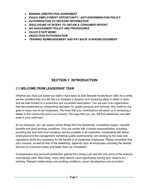- *BINDING ARBITRATION AGREEMENT*
- *EQUAL EMPLOYMENT OPPORTUNITY / ANTI-DISCRIMINATION POLICY*
- *AUTHORIZATION TO RELEASE INFORMATION*
- *DISCLOSURE OF INTENT TO OBTAIN A CONSUMER REPORT*
- *NO HARASSMENT POLICY AND PROCEDURES*
- *SALES STAFF MEMO*
- *DEDUCTION AUTHORIZATION*
- *TRAINING REIMBURSEMENT AND PAY BACK ACKNOWLEDGEMENT*

## **SECTION 1: INTRODUCTION**

#### **1.1 WELCOME FROM LEADERSHIP TEAM**

Whether you have just joined our staff or have been at Sam Boswell Honda Buick GMC for a while, we are confident that you will find our company a dynamic and rewarding place in which to work, and we look forward to a productive and successful association. You are part of an organization that has established an outstanding reputation for quality products and services, and credit for this goes to every one of our employees. We know that your contributions will assist us in remaining a leader in this community and in our industry. We hope that you, too, will find satisfaction and take pride in your work here.

As an employee, you can expect certain things from the dealership: competitive wages, valuable benefits and good working conditions. Your job carries with it certain responsibilities, including: providing the best and most courteous service possible to all customers, cooperating with fellow employees and the management, exhibiting quality workmanship, and abiding by the rules and regulations which are necessary for the benefit of all dealership employees. Please remember that your success, as well as that of the dealership, depends upon all employees providing the desired services to customers better and faster than our competition.

Compensation and personal satisfaction gained from doing a job well are only some of the reasons most people work. Most likely, many other factors count significantly among your reasons for working. Pleasant relationships and working conditions, career development and promotion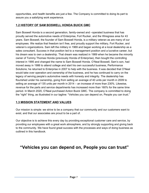opportunities, and health benefits are just a few. The Company is committed to doing its part to assure you a satisfying work experience.

#### **1.2 HISTORY OF SAM BOSWELL HONDA BUICK GMC**

Sam Boswell Honda is a second generation, family-owned and –operated business that has proudly served the automotive needs of Enterprise, Fort Rucker, and the Wiregrass area for 43 years. Sam Boswell, the founder of Sam Boswell Honda, is a military veteran as are many of our employees. We realize that freedom isn't free, and proudly support the military, Fort Rucker, and veteran's organizations. Sam left the military in 1969 and began working at a local dealership as a sales consultant. Success in that position led to a management position and a lucrative career, but his dream was to own a dealership. That dream was realized in 1989 when he became the minority owner of Tommy Thomas Honda (previously Honda of Enterprise), then bought the controlling interest in 1995 and changed the name to Sam Boswell Honda. O'Neal Boswell, Sam's son, had moved away in 1986 to attend college and start his own successful business, Performance Solutions; he returned to Enterprise in 2007 to help with the business. It was decided that O'Neal would take over operation and ownership of the business, and he has continued to carry on the legacy of serving people's automotive needs with honesty and integrity. The dealership has flourished under his ownership, going from selling an average of 40 units per month in 2009 to selling an average of 135 units per month in 2014 – an increase of more than 230%. Likewise, revenue for the parts and service departments has increased more than 160% for the same time period. In March 2020, O'Neal purchased Action Buick GMC. The company is committed to doing the "right" thing, as illustrated in our tagline: "Vehicles you can depend on, People you can trust."

#### **1.3 MISSION STATEMENT AND VALUES**

Our mission is simple: we strive to be a company that our community and our customers want to exist, and that our associates are proud to be a part of.

Our objective is to achieve this every day by providing exceptional customer care and service, by providing our employees with a great work atmosphere, and by strongly supporting and giving back to the community. We have found great success with the processes and ways of doing business as outlined in this handbook.

# **"Vehicles you can depend on, People you can trust"**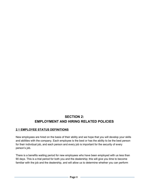# **SECTION 2: EMPLOYMENT AND HIRING RELATED POLICIES**

## **2.1 EMPLOYEE STATUS DEFINITIONS**

New employees are hired on the basis of their ability and we hope that you will develop your skills and abilities with the company. Each employee is the best or has the ability to be the best person for their individual job, and each person and every job is important for the security of every person's job.

There is a benefits waiting period for new employees who have been employed with us less than 90 days. This is a trial period for both you and the dealership; this will give you time to become familiar with the job and the dealership, and will allow us to determine whether you can perform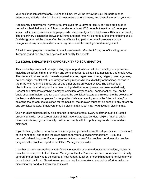your assigned job satisfactorily. During this time, we will be reviewing your job performance, attendance, attitude, relationships with customers and employees, and overall interest in your job.

A temporary employee will normally be employed for 90 days or less. A part time employee is normally scheduled less than 8 hours per day or at least 17.5 hours but less than 40 hours per week. Full time employees are employees who are normally scheduled to work 40 hours per week. The preliminary designation between full time and part time will be made at the time of hiring and a final designation will be made after the benefits waiting period. An employee may change categories at any time, based on mutual agreement of the employee and management.

All full time employees are entitled to employee benefits after the 90 day benefit waiting period. Temporary and part time employees do not qualify for benefits.

#### **2.2 EQUAL EMPLOYMENT OPPORTUNITY / DISCRIMINATION**

This dealership is committed to providing equal opportunities in all of our employment practices, including selection, hiring, promotion and compensation, to all qualified applicants and employees. The dealership does not discriminate against anyone, regardless of race, religion, color, age, sex, national origin, marital status or family or family responsibilities, disability or handicap, service in the military or veteran's status, etc. or any other status protected by law. The existence of discrimination is a primary factor in determining whether an employee has been treated fairly. Federal and state laws prohibit employee selection, advancement, compensation, etc., on the basis of certain factors, and for good reason; the prohibited factors are irrelevant to the selection of the best candidate or employee for the position. While an employer must be "discriminating" in selecting the person best qualified for the position, the decision must not be based to any extent on any prohibited factors. Employers may be discriminating, but may not unlawfully discriminate.

Our non-discrimination policy also extends to our customers. Every customer must be treated properly and with respect regardless of their race, color, sex / gender, religion, national origin, citizenship status, age or disability. Failure to comply with this policy is grounds for immediate dismissal.

If you believe you have been discriminated against, you must follow the steps outlined in Section 8 of this handbook, and report the discrimination to your supervisor immediately. If you feel uncomfortable doing so or if your supervisor is the source of the problem, condones the problem, or ignores the problem, report to the Office Manager / Controller.

If neither of these alternatives is satisfactory to you, then you can direct your questions, problems, complaints, or reports to the General Manager or Dealer Principal. You are not required to directly confront the person who is the source of your report, question, or complaint before notifying any of those individuals listed. Nevertheless, you are required to make a reasonable effort to make the discriminatory conduct known should it exist.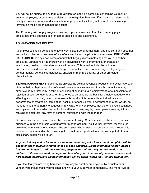You will not be subject to any form of retaliation for making a complaint concerning yourself or another employee, or otherwise assisting an investigation. However, if an individual intentionally falsely accuses someone of discrimination, appropriate disciplinary action up to and including termination will be taken against the accuser.

The Company will not pay wages to any employee at a rate less than the company pays employees of the opposite sex for comparable skills and experience.

#### **2.3 HARASSMENT POLICY**

All employees should be able to enjoy a work place free of harassment, and this company does not and will not tolerate harassment of any of our employees, applicants or customers. **EMPLOYEE HARASSMENT** is any unwelcome conduct that illegally discriminates against you or another employee, unreasonably interferes with an individual's work performance, or creates an intimidating, hostile, or offensive work environment. This would include discrimination or harassment based upon an individual's age, race, color, creed, national origin, religion, gender, gender identity, genetic characteristics, physical or mental disability, or other protected classifications.

**SEXUAL HARASSMENT** is defined as unwelcome sexual advances, requests for sexual favors, or other verbal or physical conduct of sexual nature where submission to such conduct is made, either explicitly or implicitly, a term or condition of an individual's employment; or submission to or rejection of such conduct is used or threatened to be used as the basis for employment decisions affecting such individual; or such unreasonable conduct interferes with an individual's work performance or creates an intimidating, hostile, or offensive work environment. In other words, no manager has the authority to suggest, in any way, to any employee, that the employee's continued employment or future advancement will be affected in any way by the employee entering into (or refusing to enter into) any form of personal relationship with the manager.

Customers are also covered under the harassment policy. Customers should be able to transact business with the dealership without any form of harassment, be it verbal, physical touching, or unwanted or unwelcome advances. Any employees who witness this behavior should report it to their supervisor immediately for investigation; customer reports will also be investigated. If merited, disciplinary action will be taken.

*Any disciplinary action taken in response to the findings of a harassment complaint will be based on the individual circumstances of each situation. Disciplinary actions may include, but are not limited to: written warnings, suspensions without pay, or termination. In addition, if it is determined that a person has falsely and intentionally accused someone of harassment, appropriate disciplinary action will be taken, which may include termination.*

If you feel that you are being harassed in any way by another employee or by a customer or vendor, you should make your feelings known to your supervisor immediately. The matter will be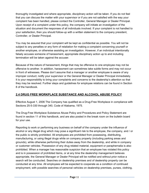thoroughly investigated and where appropriate, disciplinary action will be taken. If you do not feel that you can discuss the matter with your supervisor or if you are not satisfied with the way your complaint has been handled, please contact the Controller, General Manager or Dealer Principal. Upon receipt of a complaint under this policy, the company will initiate an investigation of the situation and document the responses of all individuals involved. If your complaint is not handled to your satisfaction, then you should follow-up with a written statement to the company president, Controller, or Dealer Principal.

You may be assured that your complaint will be kept as confidential as possible. You will not be subject to any penalties or any form of retaliation for making a complaint concerning yourself or another employee, or otherwise assisting an investigation. However, if an individual intentionally falsely accuses someone of harassment, appropriate disciplinary action up to and including termination will be taken against the accuser.

Because of the nature of harassment, things that may be offensive to one employee may not be offensive to another. In addition, harassment can sometimes take subtle forms and may not occur in front of witnesses. Please don't assume that a manager or another employee is aware of any improper conduct; notify your supervisor or the General Manager or Dealer Principal immediately. It is your responsibility to bring your complaints and concerns to the dealership's attention so that they may be resolved. Further steps and guidelines for employee relations can be found in Section 8 of the handbook.

#### **2.4 DRUG FREE WORKPLACE SUBSTANCE AND ALCOHOL ABUSE POLICY**

Effective August 1, 2006 The Company has qualified as a Drug-Free Workplace in compliance with Sections 25-5-330 through 340, Code of Alabama, 1975.

The Drug-Free Workplace Substance Abuse Policy and Procedures and Policy Statement are found in section 11 of this handbook, and are also posted in the break room on the bulletin board for your use.

Reporting to work or performing any business on behalf of the company under the influence of alcohol or any illegal drug which may pose a significant risk to the employee, the company, and / or the public is strictly prohibited. All employees are prohibited from possessing, distributing, manufacturing, or using illegal drugs while on company property (including parking areas and grounds), while otherwise performing their duties away from the dealership, and while in company or customer vehicles. Possession of any drug related material, equipment or paraphernalia is also prohibited. When a manager has reasonable suspicion that an employee has violated this policy and is in possession of prohibited items, or at any time the dealership management believes appropriate, the General Manager or Dealer Principal will be notified and without prior notice a search will be conducted. Searches on dealership premises and of dealership property can be conducted at any time. All employees will be expected to cooperate as a condition of continued employment, with possible searches of personal vehicles on dealership premises, purses, clothing,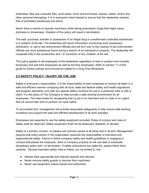briefcases, files and computer files, work areas, lunch and tool boxes, lockers, desks, and/or any other personal belongings. It is in everyone's best interest to ensure that the dealership remains free of prohibited substances and items.

Never drive a vehicle or operate machinery while taking prescription drugs that might cause dizziness or drowsiness. Violation of this policy will result in termination.

The sale, purchase, transfer or possession of an illegal drug or unauthorized controlled substances is a violation of the law. The dealership will report information concerning such possession, distribution, or use to law enforcement officials and will turn over to the custody of law enforcement officials any such substances found during a search of an individual or property. The dealership will cooperate fully in the prosecution and / or conviction of any violation of the law.

This policy applies to all employees of the dealership regardless of rank or position and includes temporary and part time employees as well as full time employees. *Refer to Section 11 of this guide for further policies and procedures related to a Drug Free Workplace.*

## **2.5 SAFETY POLICY / INJURY ON THE JOB**

Safety is everyone's responsibility. It is the responsibility of each employee to conduct all tasks in a safe and efficient manner complying with all local, state and federal safety and health regulations and program standards, and with any special safety concerns for use in a particular area or with a client. It is the policy of The Company to help provide a safe working environment for all employees. The need exists for recognizing that *no job is so important and no order is so urgent that we cannot take time to perform our work safely.*

To accomplish this, management will provide reasonable safeguards to help ensure safe working conditions and support the safe and efficient development of all work activities.

Employees are expected to use the safety equipment provided. Rules of conduct and rules of safety shall be observed. Safety equipment shall not be destroyed, disabled, or abused.

Safety is a primary concern, so please use common sense at all times and in all jobs. Management requires that every person in the organization assumes the responsibility of individual and organizational safety. Failure to follow company safety and health guidelines or engaging in conduct that places the employee, client or company property at risk can lead to employee disciplinary action and / or termination. If safety precautions are called for, please follow them carefully. Several important safety rules to follow, but not limited to, are:

- Always wear appropriate and required apparel and devices
- Never remove safety guards or devices from machinery
- Never use equipment unless trained and authorized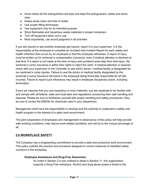- Know where all fire extinguishers are kept and keep fire extinguishers, aisles and doors clear
- Keeps areas clean and free of clutter
- Use proper lifting techniques
- Use equipment only for its intended purpose
- Store flammable and hazardous waste materials in proper containers
- Turn off equipment when not in use
- Most importantly, use sound judgment in all activities

If you are injured or see another employee get injured, report it to your supervisor. It is the responsibility of the employee to complete an Accident and Incident Report for each safety and health infraction that occurs by an employee or that the employee witnesses. A report of injury must be written up for workman's compensation insurance, even if medical attention is declined at that time. If a report is not made at the time of injury and problems arise later from that injury, the workman's comp insurance is within their rights to reject the claim. If medical attention is required, check with your supervisor or the Controller to see which doctor / medical facility is designated for our workman's comp injuries. Failure to use the doctor or medical facility designated by the workman's comp insurance will result in the employee being financially responsible for all bills incurred. Failure to report such infractions may result in employee disciplinary action, including termination.

If your job requires that you use hazardous or toxic materials, you are expected to be familiar with and comply with all federal, state and local laws and regulations concerning their safe handling and disposal. Please be sure to familiarize yourself with proper handling and safety procedures. Also, be sure to review the MSDSs for chemicals used in your department.

Management shall have the responsibility to develop and the authority to implement a safety and health program in the interest of a safer work environment.

The joint cooperation of employees and management in observance of this policy will help provide safe working conditions, help reduce work-related accidents, and will be to the mutual advantage of all.

#### **2.6 WORKPLACE SAFETY**

The Company has a longstanding commitment to provide a safe and productive work environment. This policy outlines the practice and procedure designed to correct instances of identified safety concerns in the workplace.

#### **Employee Assistance and Drug-Free Awareness**

As noted in Section 2.4 and outlined in detail in Section 11, this organization supports a Drug Free workplace. Alcohol and drug abuse poses a threat to the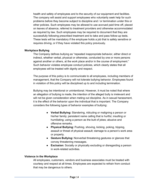health and safety of employees and to the security of our equipment and facilities. The company will assist and support employees who voluntarily seek help for such problems before they become subject to discipline and / or termination under this or other policies. Such employees may be allowed to use accrued paid time off, placed on leaves of absence, referred to treatment providers and otherwise accommodated as required by law. Such employees may be required to document that they are successfully following prescribed treatment and to take and pass follow-up tests. These tests will be mandatory if the employee holds a job that is safety sensitive or requires driving, or if they have violated this policy previously.

#### **Workplace Bullying**

The Company defines bullying as "repeated inappropriate behavior, either direct or indirect, whether verbal, physical or otherwise, conducted by one or more persons against another or others, at the work place and/or in the course of employment." Such behavior violates employee conduct policies, which clearly states that all employees will be treated with dignity and respect.

The purpose of this policy is to communicate to all employees, including members of management, that the Company will not tolerate bullying behavior. Employees found in violation of this policy will be disciplined up to and including termination.

Bullying may be intentional or unintentional. However, it must be noted that where an allegation of bullying is made, the intention of the alleged bully is irrelevant and will not be given consideration when meting out discipline. As in sexual harassment, it is the effect of the behavior upon the individual that is important. The Company considers the following types of behavior examples of bullying:

- **Verbal Bullying:** Slandering, ridiculing or maligning a person or his/her family; persistent name calling that is hurtful, insulting or humiliating; using a person as the butt of jokes; abusive and offensive remarks.
- **Physical Bullying:** Pushing, shoving, kicking, poking, tripping, assault or threat of physical assault; damage to a person's work area or property.
- **Gesture Bullying:** Nonverbal threatening gestures or glances that convey threatening messages.
- **Exclusion**: Socially or physically excluding or disregarding a person in work-related activities.

#### **Violence in the Workplace**

All employees, customers, vendors and business associates must be treated with courtesy and respect at all times. Employees are expected to refrain from conduct that may be dangerous to others.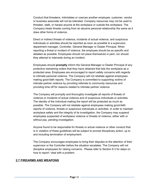Conduct that threatens, intimidates or coerces another employee, customer, vendor or business associate will not be tolerated. Company resources may not be used to threaten, stalk, or harass anyone at the workplace or outside the workplace. The Company treats threats coming from an abusive personal relationship the same as it does other forms of violence.

Direct or indirect threats of violence, incidents of actual violence, and suspicious individuals or activities should be reported as soon as possible to a supervisor, department manager, Controller, General Manager or Dealer Principal. When reporting a threat or incident of violence, the employee should be as specific and detailed as possible. Employees should not place themselves in peril, nor should they attempt to intercede during an incident.

Employees should **promptly** inform the General Manager or Dealer Principal of any protective restraining orders that they have obtained that lists the workplace as a protected area. Employees are encouraged to report safety concerns with regards to intimate personal violence. The Company will not retaliate against employees making good-faith reports. The Company is committed to supporting victims of intimate partner violence by providing referrals to community resources and providing time off for reasons related to intimate partner violence.

The Company will promptly and thoroughly investigate all reports of threats of violence or incidents of actual violence and of suspicious individuals or activities. The identity of the individual making the report will be protected as much as possible. The Company will not retaliate against employees making good-faith reports of violence, threats or suspicious individuals or activities. In order to maintain workplace safety and the integrity of its investigation, the Company may suspend employees suspected of workplace violence or threats of violence, either with or without pay, pending investigation.

Anyone found to be responsible for threats or actual violence or other conduct that is in violation of these guidelines will be subject to prompt disciplinary action, up to and including termination of employment.

The Company encourages employees to bring their disputes to the attention of their supervisor or the Controller before the situation escalates. The Company will not discipline employees for raising concerns. Please refer to Section 8.3 for steps on how to report / deal with a problem.

#### **2.7 FIREARMS AND WEAPONS**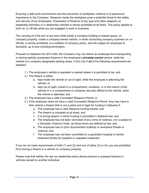Ensuring a safe work environment and the prevention of workplace violence is of paramount importance to the Company. Weapons inside the workplace pose a potential threat to the safety and security of our employees. Possession of firearms of any type and other weapons on dealership premises or in dealership vehicles is strictly prohibited at all times. This policy applies to both on- or off-site while you are engaged in work or business.

The carrying of a fire arm of any kind while inside a company building or leased space, on company property, inside a company-owned vehicle, or while conducting company business on- or off-site, is strictly prohibited, is a violation of company policy, and will subject an employee to discipline, up to and including termination.

Pursuant to Alabama Act 2013-283, the Company may not restrict an employee from transporting or storing lawfully possessed firearms in the employee's *privately-owned* vehicle, while the vehicle is in company designated parking areas, if and only if *all* of the following requirements are satisfied:

- 1.) The employee's vehicle is operated or parked where it is permitted to be; and
- 2.) The firearm is either:
	- a. kept inside the vehicle or out of sight, while the employee is attending the vehicle; or
	- b. kept out of sight, locked in a compartment, container, or in the interior of the vehicle or in a compartment or container securely affixed to the vehicle, when the vehicle is attended; and
- 3.) The employee has a valid Concealed Weapons Permit; or
- 4.) If the employee does not have a valid Concealed Weapons Permit, they may have in their vehicle a firearm that is not a pistol and is legal for hunting in Alabama if:
	- a. The employee has a valid Alabama hunting license; and
	- b. The firearm is unloaded at all times; and
	- c. It is during season in which hunting is permitted in Alabama law; and
	- d. The employee has not been convicted of any crime of violence, nor is subject to a Domestic Violence Order, as those terms are defined by law; and
	- e. The employee has no prior documented incidents or workplace threats or violence; and
	- f. The employee has not been committed to a psychiatric hospital or similar treatment facility for inpatient or outpatient treatment.

If you do not meet requirements of both (1) and (2) and one of either (3) or (4), you are prohibited from having a firearm in a vehicle on company property.

Please note that neither the law nor dealership policy allows persons to possess firearms in vehicles owned by another individual.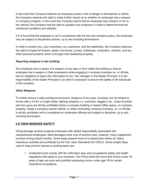In the event the Company believes an employee poses a risk of danger to themselves or others, the Company reserves the right to make further inquiry as to whether an employee has a weapon on company property. In the event the Company learns that an employee has a firearm in his or her vehicle, the Company has the right to question any employee in order to determine that the mentioned conditions are satisfied.

If it is found that the employee is not in compliance with the law and company policy, the employee may be subject to disciplinary actions, up to and including terminations.

In order to protect you, your coworkers, our customers, and the dealership, the Company reserves the right to inspect all lockers, desks, tool boxes, purses, briefcases, computers, vehicles, and any other personal property which is brought onto dealership property.

#### *Reporting weapons in the building*

Any employee who is aware of a weapon of any type or form within the building or that an employee has a weapon in their possession while engaging in company business on- or off-site, has an obligation to report this information to his / her manager or the Dealer Principal. It is the responsibility of the Dealer Principal to do what is necessary to ensure the safety of all individuals in the company.

#### *Other Weapons*

To further ensure a safe working environment, weapons of any type, including, but not limited to: knives with a 3-inch or longer blade, fighting weapons *i.e*. nunchuks, daggers, etc., brass knuckles and stun guns are strictly prohibited inside a company building or leased office space, on company property, inside a company-owned vehicle, or while conducting company business, on- or off-site, is strictly prohibited and is considered an intolerable offense and subject to discipline, up to and including termination.

#### **2.8 TEEN WORKER SAFETY**

Hiring teenage workers presents employers with added responsibility associated with inexperienced employees. Most teenagers work only at summer jobs, however, many supplement incomes during school months. Some tasks present more of a hazard than others do. Many hazardous activities are prohibited by the Fair Labor Standards Act (FSLA). Some simple steps used to help prevent injuries to working teens are:

1. Understand and comply with the child labor laws and occupational safety and health regulations that apply to your business. The FSLA limits the hours that minors under 16 years of age can work and prohibits employing minors under age 18 for certain hazardous occupations.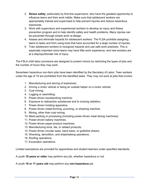- 2. **Stress safety**, particularly by first-line supervisors, who have the greatest opportunity to influence teens and their work habits. Make sure that adolescent workers are appropriately trained and supervised to help prevent injuries and reduce hazardous exposures.
- 3. Work with supervisors and experienced workers to develop an injury and illness prevention program and to help identify safety and health problems. Many injuries can be prevented through simple work re-design.
- 4. Assess and eliminate hazards for adolescent workers. The FLSA prohibits assigning teens to tasks and from using tools that have accounted for a large number of injuries.
- 5. Train adolescent workers to recognize hazards and use safe work practices. This is especially important since teens may have little work experience, and new workers are at a disproportionate risk of injury.

The FSLA child labor provisions are designed to protect minors by restricting the types of jobs and the number of hours they may work.

Seventeen hazardous non-farm jobs have been identified by the Secretary of Labor. Teen workers under the age of 18 are prohibited from the identified tasks. They may not work at jobs that involve:

- 1. Manufacturing and storing of explosives;
- 2. Driving a motor vehicle or being an outside helper on a motor vehicle;
- 3. Coal mining;
- 4. Logging or sawmilling;
- 5. Power-driven woodworking machine;
- 6. Exposure to radioactive substances and to ionizing radiation;
- 7. Power-driven hoisting apparatus;
- 8. Power-driven metal-forming, punching, or shearing machine;
- 9. Mining, other than coal mining;
- 10. Meat packing or processing (including power-driven meat slicing machines);
- 11. Power-driven bakery machines;
- 12. Power-driven paper-product machines;
- 13. Manufacturing brick, tile, or related products;
- 14. Power-driven circular saws, band saws, or guillotine shears;
- 15. Wrecking, demolition, and shipbreaking operations;
- 16. Roofing operations;
- 17. Excavation operations.

Limited exemptions are provided for apprentices and student learners under specified standards.

A youth **18 years or older** may perform any job, whether hazardous or not.

A youth **16 or 17 years old** may perform any **non-hazardous** job.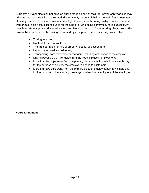Currently, 16 year olds may not drive on public roads as part of their job. Seventeen year olds may drive as much as one-third of their work day or twenty percent of their workweek. Seventeen year olds may, as part of their job, drive cars and light trucks, but only during daylight hours. The teen worker must hold a state license valid for the type of driving being performed, have successfully completed state approved driver education, and **have no record of any moving violations at the time of hire**. In addition, the driving performed by a 17 year old employee may **not** involve:

- Towing vehicles;
- Route deliveries or route sales;
- The transportation for hire of property, goods, or passengers;
- Urgent, time sensitive deliveries;
- Transporting more than three passengers, including employees of the employer;
- Driving beyond a 30 mile radius from the youth's place if employment;
- More than two trips away from the primary place of employment in any single day for the purpose of delivery the employer's goods to customers;
- More than two trips away from the primary place of employment in any single day for the purpose of transporting passengers, other than employees of the employer.

#### **Hours Limitations**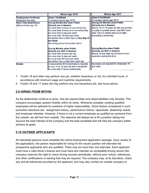|                                                        | Minors Age 14/15                                                                                                                                                                                                                                                                                                     | Minors Age 16/17                                                                                                                                                                                                             |
|--------------------------------------------------------|----------------------------------------------------------------------------------------------------------------------------------------------------------------------------------------------------------------------------------------------------------------------------------------------------------------------|------------------------------------------------------------------------------------------------------------------------------------------------------------------------------------------------------------------------------|
| <b>Employment Certificate</b><br>(Renewed Annually)    | <b>Class I Certificate</b><br>To employ minors age 14/15                                                                                                                                                                                                                                                             | <b>Class II Certificate</b><br>To employ minors age 16/17                                                                                                                                                                    |
| <b>Work Time Restrictions</b><br>(Minors Under age 19) | During the Months when Public<br><b>Schools are in Session</b><br>No more than 3 hours on any school day<br>No more than 8 hours on a non-school day<br>No more than 6 days per week<br>No more than 18 hours per week<br>Not before 7am or after 7pm on Any Day of<br>the Week<br>Not during school hours (8am-3pm) | During the Months when Public<br><b>Schools are in Session</b><br>Minors 16-17-18 years old who are enrolled<br>in public or private school, may NOT work<br>after 10pm or before 5am on an night<br>preceding a school day. |
|                                                        | During Months when Public<br><b>Schools are NOT in Session</b><br>No more than 8 hours per day<br>No more than 6 days per week<br>No more than 40 hours per week<br>Not before 7am or after 9pm each day                                                                                                             | During Months when Public<br><b>Schools are NOT in Session</b><br>Minors 16 and older do not have an hour<br>restriction during this time.                                                                                   |
| <b>Breaks</b>                                          | A documented 30 minute break is required<br>for any 14 or 15 year old who is employed<br>for more than 5 hours continuously.                                                                                                                                                                                         | No breaks are required for employees 16<br>and older.                                                                                                                                                                        |

- 1. Youths 18 and older may perform any job, whether hazardous or not, for unlimited hours, in accordance with minimum wage and overtime requirements.
- 2. Youths 16 and 17 years old may perform any non-hazardous job, see hours above.

#### **2.9 HIRING FROM WITHIN**

As the dealerships continue to grow, new job opportunities and responsibilities may develop. This company encourages upward mobility within its ranks. Whenever possible, existing qualified employees will be selected for positions of higher responsibility. Some factors considered in such promotion decisions are: assignment history, performance history / appraisals, dealership needs, and employee interests. However, if there is not a current employee as qualified as someone from the outside, we will hire from outside. The objective will always be to fill a position taking into account the best interest of the company and the best candidate that will help the company better achieve its goals.

## **2.10 OUTSIDE APPLICANTS**

All interested persons must complete the online employment application package. Upon review of the applications, the person responsible for hiring for the vacant position will interview the prospective applicants who are qualified. There may be more than one interview. Each applicant must have a valid driver's license and must have and maintain an acceptable driving record (the company reserves the right to check driving records periodically, without prior notice), references, and other certifications or training that may be required. The company may, at its discretion, check any and all references provided by the applicant, and may also contact an outside company to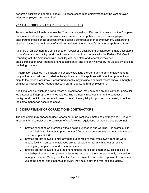perform a background or credit check. Questions concerning employment may be verified even after an employee has been hired.

## **2.11 BACKGROUND AND REFERENCE CHECKS**

To ensure that individuals who join the Company are well qualified and to ensure that the Company maintains a safe and productive work environment, it is our policy to conduct pre-employment background checks on all applicants who accept a conditional offer of employment. Background checks may include verification of any information on the applicant's resume or application form.

All offers of employment are conditioned on receipt of a background check report that is acceptable to the Company. All background checks are conducted in conformity with the Federal Fair Credit Reporting Act, the Americans with Disability Act, and state and federal privacy and antidiscrimination laws. Reports are kept confidential and are only viewed by individuals involved in the hiring process.

If information obtained in a background check would lead the Company to deny employment, a copy of the report will be provided to the applicant, and the applicant will have the opportunity to dispute the report's accuracy. Background checks may include a criminal record check, although a criminal conviction does not automatically bar an applicant from employment.

Additional checks, such as driving record or credit report, may be made on applicants for particular job categories if appropriate and job related. The Company reserves the right to conduct a background check for current employees to determine eligibility for promotion or reassignment in the same manner as described above.

## **2.12 DEPARTMENT OF CORRECTIONS CONTRACTORS**

The dealership may choose to use Department of Corrections inmates as contract labor. It is very important for all employees to be aware of the following regulations regarding these personnel:

- 1. Inmates cannot be on premises without being punched in and working. For example, it is not permissible for inmates to punch out at 5:00 but stay on premises and not have the van pick them up until 7:00.
- 2. Inmates are not allowed to mail anything out or receive mail while away from the work release facility. Company employees are not allowed to mail anything out or receive anything at your personal address for an inmate.
- 3. Inmates are not allowed to use the phone unless there is an emergency. This applies to dealership phones and employee cell phones. In case of the emergency, only the service manager, General Manager or Dealer Principal have the authority to approve the inmate's use of the phone, and if approval is given, they must notify the work release facility.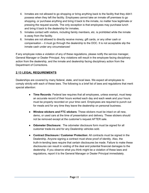- 4. Inmates are not allowed to go shopping or bring anything back to the facility that they didn't possess when they left the facility. Employees cannot take an inmate off premises to go shopping, or purchase anything and bring it back to the inmate, no matter how legitimate or pressing the request sounds. The only exception is that employees may purchase lunch and bring it back to the dealership for inmates.
- 5. Inmates contact with visitors, including family members, etc. is prohibited while the inmate is away from the facility.
- 6. Inmates are not allowed to directly receive money, gift cards, or any other cash or compensation – it must go through the dealership to the DOC. It is not acceptable slip the inmate cash under any circumstances!

If any employee notes a violation of any of these regulations, please notify the service manager, General Manager or Dealer Principal. Any violations will result in the employee facing disciplinary action from the dealership, and the inmate and dealership facing disciplinary action from the Department of Corrections.

#### **2.13 LEGAL REQUIREMENTS**

Dealerships are covered by many federal, state, and local laws. We expect all employees to comply strictly with each of these laws. The following is a brief list of laws and regulations that merit special attention:

- **Time Records**: Federal law requires that all employees, unless exempt, must keep an accurate record of their hours worked each day and each week and your hours must be properly recorded on your time card. Employees are required to punch out for meals and for any time they leave the dealership on personal business.
- **Window stickers and FTC stickers**: These stickers must be intact on all new, demo, or used cars at the time of presentation and delivery. These stickers should not be removed except at the customer's request AFTER sale.
- **Odometer Disclosure:** The odometer disclosure form must be signed for all customer trade-ins and for any Dealership vehicles sold.
- **Contract Disclosure / Customer Protection**: All contracts must be signed in the Dealership. Anyone signing a contract must show proof of identity. Also, the truth-in-lending laws require that certain disclosures be made. Failure to make these disclosures can result in voiding of the deal and potential financial damages to the dealership. If you observe what you think might be a violation of these laws and regulations, report it to the General Manager or Dealer Principal immediately.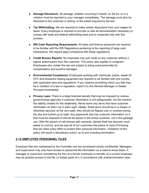- **Damage Disclosure**: All damage, whether occurring in transit, on the lot, or in a collision must be reported to your manager immediately. The damage must also be disclosed to the customer in writing, to the extent required by the law.
- **Tax Withholding**: We are required to make certain deductions from your wages for taxes. Every employee is required to provide us with all documentation necessary to comply with state and federal withholding laws and to cooperate fully with this process.
- **IRS Cash Reporting Requirements**: All sales and finance personnel are required to be familiar with the IRS Regulations pertaining to the reporting of large cash transactions. We require strict compliance with these regulations.
- **Credit Bureau Reports**: No employee may pull credit on any customer without a signed authorization from the customer. This policy also applies to cosigners. Employees who violate this law are subject to being sued personally for compensatory and punitive damages.
- **Environmental Compliance:** Employees working with chemicals, paints, waste oil, CFC and emissions testing equipment are required to be familiar with and comply with applicable laws and regulations. If you observe something which you feel may be in violation of a law or regulation, report it to the General Manager or Dealer Principal immediately.
- **Privacy Laws:** There is a large financial penalty that may be imposed by various governmental agencies if customer information is not safeguarded, not the mention the liability created for the dealership. Never leave any items that have customer information on them out in plain sight. Ideally, these items should be in a drawer or otherwise secured; at the very least, they should be flipped over or covered during the day and locked up at night. Any paperwork that has customer information on it that must be disposed of should be placed in the shred container, not in the garbage can. With the advent of cell phones with cameras, identity theft has become much easier to commit, and we owe all of our customers the peace of mind of knowing that we make every effort to protect their personal information. Violations of this policy will result in disciplinary action, up to and including termination.

#### **2.14 EMPLOYEE PERSONNEL FILES**

Employee files are maintained by the Controller and are considered strictly confidential. Managers and supervisors may only have access to personnel file information on a need-to-know basis. A manager or supervisor considering the hire of a former employee or transfer of a current employee may be granted access to the file, or limited parts of it, in accordance with antidiscrimination laws.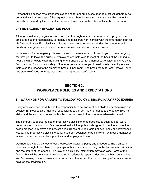Personnel file access by current employees and former employees upon request will generally be permitted within three days of the request unless otherwise required by state law. Personnel files are to be reviewed by the Controller. Personnel files may not be taken outside the department.

## **2.15 EMERGENCY EVACUATION PLAN**

Although most safety regulations are consistent throughout each department and program, each employee has the responsibility to identify and familiarize her / himself with the emergency plan for his / her work area. Each facility shall have posted an emergency plan detailing procedures in handling emergencies such as fire, weather-related events and medical crises

In the event of an emergency, please proceed to the nearest exit closest to you. If the emergency requires you to leave the building, employees are instructed to meet at the back of the parking lot, near the water tower. Keep the parking lot entrances clear for emergency vehicles, and stay away from the shop for your own safety. If the emergency requires you to seek shelter, employees are instructed to proceed to the employee break / lunch room. The break room at Sam Boswell Honda has steel-reinforced concrete walls and is designed as a safe room.

# **SECTION 3: WORKPLACE POLICIES AND EXPECTATIONS**

#### **3.1 WARNINGS FOR FAILURE TO FOLLOW POLICY & DISCIPLINARY PROCEDURES**

Every employee has the duty and the responsibility to be aware of and abide by existing rules and policies. Employees also have the responsibility to perform his / her duties to the best of his / her ability and the standards as set forth in his / her job description or as otherwise established.

The company supports the use of progressive discipline to address issues such as poor work performance or misconduct. Our progressive discipline policy is designed to provide a corrective action process to improve and prevent a recurrence of undesirable behavior and / or performance issues. The progressive discipline policy has been designed to be consistent with our organization values, human resources best practices, and employment laws.

Outlined below are the steps of our progressive discipline policy and procedure. The Company reserves the right to combine or skip steps in this process depending on the facts of each situation and the nature of the offense. The level of disciplinary intervention may also vary. Some of the factors that will be considered are: whether the offense is repeated despite coaching, counseling and / or training; the employee's work record; and the impact the conduct and performance issues have on the organization.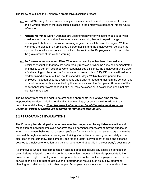The following outlines the Company's progressive discipline process:

- **Verbal Warning**: A supervisor verbally counsels an employee about an issue of concern, and a written record of the discussion is placed in the employee's personnel file for future reference.
- **Written Warning**: Written warnings are used for behavior or violations that a supervisor considers serious, or in situations when a verbal warning has not helped change unacceptable behavior. If a written warning is given, you will be asked to sign it. Written warnings are placed in an employee's personnel file, and the employee will be given the opportunity to write a response that will also be kept on file. Employees should recognize the grave nature of the written warning.
- **Performance Improvement Plan**: Whenever an employee has been involved in a disciplinary situation that has not been readily resolved or when he / she has demonstrated an inability to perform assigned work responsibilities efficiently, the employee may be given a final warning or placed on performance improvement plan (PIP). PIP status will last for a predetermined amount of time, not to exceed 90 days. Within this time period, the employee must demonstrate a willingness and ability to meet and maintain the conduct and / or work requirements as specified by the supervisor and the Company. At the end of the performance improvement period, the PIP may be closed or, if established goals not met, dismissal may occur.

The Company reserves the right to determine the appropriate level of discipline for any inappropriate conduct, including oral and written warnings, suspension with or without pay, demotion, and discharge. *Note: because Alabama is an "at will" employment state, no warnings, verbal or written, are required for immediate termination.*

#### **3.2 PERFORMANCE EVALUATIONS**

The Company has developed a performance review program for the equitable evaluation and recognition of individual employee performance. Performance improvement may be suggested when management believes that an employee's performance is less than satisfactory and can be resolved through adequate counseling and training. Corrective counseling is completely at the discretion of the company. The company desires to protect its investment of time and expense devoted to employee orientation and training, whenever that goal is in the company's best interest.

All employees whose total compensation package does not include pay based on bonuses or commissions will participate in the performance review process at intervals appropriate to the position and length of employment. This appraisal is an analysis of the employees' performance, as well as the skills utilized to achieve their performance results such as quality, judgment, planning and relationships with other people. Employees are encouraged to inquire about their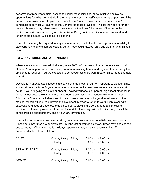performance from time to time, accept additional responsibilities, show initiative and review opportunities for advancement within the department or job classifications. A major purpose of the performance evaluation is to plan for the employees' future development. The employees' immediate supervisor will submit to the General Manager or Dealer Principal their desire for pay reviews; however, pay raises are not guaranteed at the time of the review. Often, schooling and certifications will have a bearing on this decision. Being on time, ability to learn, teamwork and length of employment will also have a bearing.

Recertification may be required to stay at a current pay level. It is the employees' responsibility to stay current in their chosen profession. Certain jobs could max out on a pay plan for an unlimited time.

#### **3.3 WORK HOURS AND ATTENDANCE**

When you are at work, we ask that you give us 100% of your work, time, experience and good attitude. Your supervisor will schedule your normal working hours, and regular attendance by the employee is required. You are expected to be at your assigned work area on time, ready and able to work.

Occasionally unexpected situations arise, which may prevent you from reporting to work on time. You must *personally* notify your department manager (not a co-worker) *every day*, before work hours, if you are going to be late or absent – having your spouse / parent / significant other call in for you is not acceptable. Managers must report absences to the General Manager, Dealer Principal or Controller. All absences of three consecutive days or longer due to illness or other medical reason will require a physician's statement in order to return to work. Employees with excessive tardiness or absences may be subject to disciplinary action, up to and including termination. If an employee fails to report for work for three days without notification, this will be considered job abandonment, and a voluntary termination.

Due to the nature of our business, working hours may vary in order to satisfy customer needs. Please note that times are approximate, until the last customer is served. Times may also change due to heavy traffic or workloads, holidays, special events, or daylight savings time. The anticipated schedule is as follows:

| SALES:                  | Monday through Friday:<br>Saturday: | $8:00$ a.m. $-7:00$ p.m.<br>$8:00$ a.m. $-5:00$ p.m. |
|-------------------------|-------------------------------------|------------------------------------------------------|
| <b>SERVICE / PARTS:</b> | Monday through Friday:<br>Saturday  | 7:30 a.m. $-5:00$ p.m.<br>$8:00$ a.m. $-4:00$ p.m.   |
| <b>OFFICE:</b>          | Monday through Friday:              | $8:00$ a.m. $-5:00$ p.m.                             |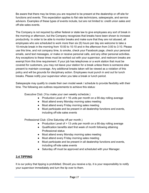Be aware that there may be times you are required to be present at the dealership or off-site for functions and events. This expectation applies to flat rate technicians, salespeople, and service advisors. Examples of these types of events include, but are not limited to: credit union sales and off-site sales events.

The Company is not required by either federal or state law to give employees any sort of break in the morning or afternoon, but the Company recognizes that breaks have been shown to increase productivity. In order to be able to monitor breaks and make sure that they are not abused, all employees who are scheduled to work more than six (6) hours per day are welcome to take a 10-minute break in the morning from 10:00 to 10:10 and in the afternoon from 3:00 to 3:10. Please use this time, and not company time, to smoke, check your Facebook page, check your personal emails, send text messages, or make or receive personal calls, and any other personal activities. Any exceptions to these times must be worked out with your supervisor, and restroom breaks are exempt from this time requirement. If your job has telephones or a work station that must be covered for customers, you may not leave your station for a break unless there is someone else present to maintain coverage. Any additional breaks taken will be viewed as a violation of this policy and will be grounds for disciplinary action. Employees must punch in and out for lunch breaks. Please notify your supervisor when you take a break or lunch period.

Salespeople may qualify to create their own model week / schedule to provide flexibility with their time. The following are outlines requirements to achieve this status:

Executive Club: (You make your own weekly schedule.)

- Production Level of > 16 units per month on a 90-day rolling average
- Must attend every Monday morning sales meeting
- Must attend every Friday morning sales meeting
- Must participate and be present in all dealership functions and events, including off-site sales events

Professional Club: (One Saturday off per month.)

- Production Level of > 13 units per month on a 90-day rolling average
- Qualification benefits start first week of month following attaining Professional status
- Must attend every Monday morning sales meeting
- Must attend every Friday morning sales meeting
- Must participate and be present in all dealership functions and events, including off-site sales events
- Saturday off must be approved and scheduled with your Manager.

#### **3.4 TIPPING**

It is our policy that tipping is prohibited. Should you receive a tip, it is your responsibility to notify your supervisor immediately and turn the tip over to them.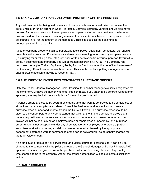#### **3.5 TAKING COMPANY (OR CUSTOMER) PROPERTY OFF THE PREMISES**

Any customer vehicles being test driven should simply be taken for a test drive; do not use them to go to lunch in or run an errand in while it is tested. Likewise, company vehicles should also never be used for personal errands. If an employee is on a personal errand in a customer's vehicle and has an accident, the insurance company can reject the claim (in which case the employee would be charged in full for the amount of the damages). This also subjects the dealership to unnecessary additional liability.

All other company property, such as paperwork, tools, books, equipment, computers, etc. should never leave the premises. If you have a valid reason for needing to remove any company property, (i.e.studying for or taking a test, etc.), get prior written permission from your supervisor. If you fail to do so, it becomes theft of property and will be treated accordingly. NOTE: The Company has purchased items (i.e. Trailer, Equipment, Tools, Audio / Electronics) for the benefit and sole use of the Company. Do not ask to borrow these items. This simply results in putting management in an uncomfortable position of having to respond, "NO".

## **3.6 AUTHORITY TO ENTER INTO CONTRACTS / PURCHASE ORDERS**

Only the Owner, General Manager or Dealer Principal (or another manager explicitly designated by the owner or GM) have the authority to enter into contracts. If you enter into a contract without prior approval, you may be held personally liable for any charges incurred.

Purchase orders are issued by departments at the time that work is contracted to be completed, or at the time parts or supplies are ordered. Even if the final amount due is not known, issue a purchase order number and update it when the figure is known. The purchase order should be given to the vendor before any work is started, not taken at the time the vehicle is picked up. If there is a question on an invoice and a vendor cannot produce a purchase order number, the invoice will not be paid. Giving an employee name or repair order number in lieu of a purchase order number is not acceptable under any circumstance. Any employee who orders a part or authorizes work without having a valid purchase order number issued by the appropriate department before the work is commenced or the part is delivered will be personally charged for the full invoice amount.

If an employee orders a part or service from an outside source for personal use, it can only be charged to the company with the *prior* approval of the General Manager or Dealer Principal, **AND** approval must also be given *prior* to the purchase order number being obtained. Any employee who charges items to the company without the proper authorization will be subject to disciplinary action.

## **3.7 GAS PURCHASES**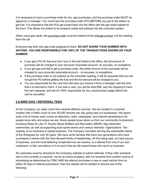It is necessary to have a purchase order for ALL gas purchases, and the purchase order MUST be signed by a manager. You must have the purchase order (PO) BEFORE you got to the station to get fuel. It is imperative that the POs get turned back into the office with the gas ticket stapled to the front. This allows the tickets to be properly coded and entered into the computer system.

When using gas cards, the purchase order must be entered at the mileage prompt, not the reading from the car.

Everyone has their own gas code assigned to them. **DO NOT SHARE YOUR NUMBER WITH ANYONE. YOU ARE RESPONSIBLE FOR 100% OF THE TRANSACTIONS SHOWN ON YOUR NUMBER.**

- If you get a PO for fuel and don't turn in the fuel ticket to the office, the full amount of purchase will be charged to your accounts receivable account- no excuses, no exceptions.
- If you get gas and fail to get a purchase order, the entire amount of the purchase will be charged to your accounts receivable account – no excuses, no exceptions.
- If the purchase order is not entered as the odometer reading, it will be assumed that you did not get the PO before getting the fuel and the full amount will be charged to you.
- You are responsible for the card from the time you receive it from a manager until the time that it is returned to them. If you lose a card, you will be fined \$50, pay the shipping to have the card replaced, and will be 100% responsible for any unauthorized usage before the card is cancelled.

## **3.8 BIRD DOG / REFERRAL FEES**

At the Company, our sales come from several different sources. We are located in a premier location with a traffic count of over 50,000 vehicles per day going past our businesses. We spend quite a bit of money each month on television, radio, newspaper, and internet advertising to let people know who and where we are. Some people know about us from our community involvement including Relay for Life, Ft. Rucker Moral Welfare and Recreation (MWR), flag retirement ceremonies; as well as supporting local sports teams and various veterans' organizations. The majority of our business is repeat business. The Company has been serving the automobile needs of the Wiregrass for over 45 years. We have some families that have four generations who have purchased a vehicle with the Sam Boswell family of dealerships. All this being said, our best source of business, and the most flattering compliment we can receive, is a referral from one of our own customers. In fact, we believe in it so much that we will reward those who send us business.

All customers must be directed to the Company website to submit referrals. If they refer someone who is not currently a customer, not an an active prospect, and not received from another source of advertising as determined by CRM, AND the referral purchases a new or used vehicle from us within 30 days of referral submission, then the referee will be entitled to choose one of the following: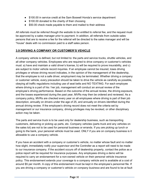- \$100.00 in service credit at the Sam Boswell Honda's service department
- \$100.00 donated to the charity of their choosing
- \$50.00 check made payable to them and mailed to their address

*All referrals must be referred though the website to be entitled to referral fee*, and the request must be approved by a sales manager prior to payment. In addition, all referrals from outside sales persons that are to receive a fee for the referral will be directed to the sales manager and will be "house" deals with no commission paid to a staff sales person.

## **3.9 DRIVING A COMPANY OR CUSTOMER'S VEHICLE**

A company vehicle is defined, but not limited to: the parts and service trucks, shuttle vehicles, and all other company vehicles. Employees who are required to drive company or customer's vehicles must: a) have and maintain a valid driver's license, b) will be required to prove insurability, and c) are subject to motor vehicle record inquiries. If an employee cannot be insured, loses driving privileges or whose driving record indicates, in the opinion of the management of the dealership, that the employee is not a safe driver, employment may be terminated. Whether driving a company or customer vehicle, every precaution should be taken to drive the vehicle as carefully as possible, obeying all traffic regulations including use of seat belts and NO TEXTING. For each employee where driving is a part of his / her job, management will conduct an annual review of the employee's driving performance. Based on the outcome of the annual review, the driving exposure, and the losses experienced during the past year, MVRs may then be ordered and reviewed. As a company policy, MVRs are checked every year on all employees where driving is part of their job description, annually on drivers under the age of 25, and annually on drivers identified during the annual driving review. If the employee's driving record does not meet the criteria set by management or our insurance company, driving privileges may be revoked, or other disciplinary action may be taken.

The parts and service truck is to be used only for dealership business, such as transporting customers, delivering or picking up parts, etc. Company vehicles (parts truck and any vehicles on the sales lot) are not to be used for personal business or errands. If you are picking up lunch or going to the bank, your personal vehicle must be used. ONLY if you are on company business is it allowable to use a company vehicle.

If you have an accident with a company or customer's vehicle, no matter whose fault and no matter how slight, immediately notify your supervisor and the Controller as a report will need to be made to our insurance company. If the accident occurs off of dealership property, contact the police as a police report will be required for insurance purposes. Any employees driving a demo will be required to carry an endorsement for a non-owned vehicle on their personal vehicle insurance policy. This endorsement extends your coverage to a company vehicle and is available at a cost of around \$5 per month. A copy of this endorsement must be kept in the employee's personnel file. If you are driving a company or customer's vehicle *on company business* and are found to be at fault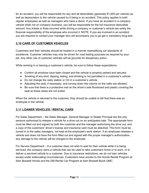for an accident, you will be responsible for any and all deductibles (generally \$1,000 per vehicle) as well as depreciation to the vehicle caused by it being in an accident. This policy applies to both regular employees as well as managers who have a demo. If you have an accident in a company vehicle while *not on company business*, you will be responsible for the full insurance deductible amount. Any tickets or fines incurred while driving a company or customer's vehicle are solely the financial responsibility of the employee who incurred it. NOTE: If you are involved in an accident, you are required to contact your manager who will accompany you to go get a *mandatory* drug test.

## **3.10 CARE OF CUSTOMER VEHICLES**

Customers and their vehicles should be treated in a manner exemplifying our standards of excellence. Customer vehicles may only be driven for road testing purposes as required by your job. Any other use of customer vehicles will be grounds for disciplinary action.

While working in or leaving a customer's vehicle, be sure to follow these expectations:

- Confirm all windows have been closed and the vehicle is properly parked and secured.
- Smoking of any kind, dipping, eating, and drinking is not permitted in a customer's vehicle.
- Do not change the radio station or CD in a customer's vehicle.
- Adjusting the seat, if necessary, and turning down the volume on the radio are allowed.
- Be sure that there is a protective mat on the driver's side floorboard and plastic covering the seat so these areas are not soiled.

When the vehicle is returned to the customer, they should be unable to tell that there was an employee in the vehicle.

## **3.11 LOANER VEHICLES / RENTAL CARS**

For Sales Department – the Sales Manager, General Manager or Dealer Principal are the only persons authorized to release a vehicle for a drive out on an anticipated sale. The appropriate form must be filled out and signed by both the customer and the manager authorizing the drive out, and a copy of the customers' driver's license and insurance card must be attached. This form must be turned in to the sales managers, not kept at the employee's work station. If an employee releases a vehicle and does not have the form filled out and signed with the proper manager's authorization, any damage to the vehicle will be charged to the employee.

For Service Department – If a customer does not wish to wait for their vehicle while it is being serviced, the company owns a vehicle that can be used to take customers home or to work, or to deliver a serviced vehicle to a customer. Due to insurance restrictions, we *do not* loan vehicles except under extenuating circumstances. Customers have access to the Honda Rental Program at Sam Boswell Honda and the GM Rental Car Program at Sam Boswell Buick GMC.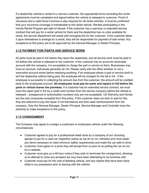If a dealership vehicle is rented to a service customer, the appropriate forms (including the rental agreement) must be completed and signed before the vehicle is released to customer. Proof of insurance and a valid driver's license is also required for all rental vehicles. It must be confirmed that your insurance coverage is transferable to the rental vehicle. Rentals participating in the Honda Rental Program get right of refusal. If the customer has a warranty or extended service contract that will pay for a rental vehicle for them and the dealership has no units available for rental, the service department will assist with arranging this for the customer. If the customer takes it upon themselves to arrange for a rental, they will be responsible for payment of said rental. Any exceptions to this policy are to be approved by the General Manager or Dealer Principal.

## **3.12 PAYMENT FOR PARTS AND SERVICE WORK**

All parts must be paid in full before they leave the dealership, and all service work must be paid in full before the vehicle is released to the customer. If the customer has an accounts receivable account with the company, it is acceptable to charge the part or service to them. Businesses may have an account; individuals generally do not. Please verify with the office whether or not a receivable account exists before releasing anything. If an employee allows a part or service work to exit the dealership without being paid, the employee will be charged for the bill in full. If the employee is successful in collecting the amount due from the customer, the amount will be credited back to the employees account. **All employees must pay for parts and repairs in full before the parts or vehicle leaves the premises.** If a customer has an extended service contract, we must have the repair paid in full by a credit card number from the service company before the vehicle is released – preapproval or authorization numbers only are not acceptable. US Warranty and Honda are the only companies excepted from this policy. If the customer does not wish to wait for this, they are welcome to pay the repair in full themselves and then seek reimbursement from the company. Only the General Manager, Dealer Principal, Service Manager and Controller have the authority to make exceptions to this policy.

#### **3.13 CONSIGNMENT**

The Company may agree to consign a customers or employees vehicle under the following circumstances:

- Customer agrees to pay for a professional detail done by a company of our choosing, agrees to pay for a used car inspection (same as we do on our vehicles) and must repair any items necessary to meet minimum safety requirements and make the car safe to drive.
- Customer must agree on a price they will accept from us *prior* to us putting the car on our lot or website.
- Customer must give us a 48 hour notice if they wish to terminate the consignment, allowing us to attempt to close any prospect we may have been attempting to do business with.
- Customer must pay for the cost of detailing vehicle, and any repairs that have been done while in our possession prior to leaving with the vehicle.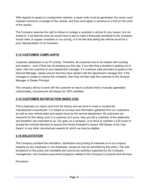With regards to repairs to consignment vehicles, a repair order must be generated, the owner must maintain insurance coverage on the vehicle, and they must agree in advance to a limit on the costs of the repairs.

The Company reserves the right to refuse to consign a customer's vehicle for any reason, but not limited to, if we feel the price we would have to ask to make it financially beneficial to the Company would make us appear unrealistic in our pricing, or if we feel that selling the vehicle would be a poor representation of our business.

## **3.14 CUSTOMER COMPLAINTS**

Customer satisfaction is our #1 priority. Therefore, all customers are to be treated with courtesy and respect – even if they are not treating you this way. If you feel that a situation is getting out of hand, refer the customer to your department manager. If a customer calls and asks to speak to the General Manager, please ensure that they have spoken with the department manager first. If the manager is unable to resolve the complaint, then they will then take the customer to the General Manager or Dealer Principal.

The company will try to work with the customer to reach a solution that is mutually agreeable; unfortunately, not everyone will always be 100% satisfied.

#### **3.15 CUSTOMER SATISFACTION INDEX (CSI)**

This is basically our report card from the factory and we strive to meet or exceed the manufacturer's benchmark. It is based on surveys and information gathered from our customers, as well as new vehicle sales and repairs done by the service department. All customers are important for this rating; even if a customer isn't yours, they are still a customer of the dealership and therefore very important to us. Our goal, as a company, is to strive to maintain a CSI score of at least the minimal standard to receive the Honda President's Award, GM Dealer of the Year Award, or any other manufacturer awards for which we may be eligible.

#### **3.16 SOLICITATION**

The Company prohibits the solicitation, distribution and posting of materials on or at company property by any employee or non-employee, except as may be permitted by this policy. The sole exceptions to this policy are charitable and community activities supported by the Company management, and company-sponsored programs related to the Company's products and services.

Provisions: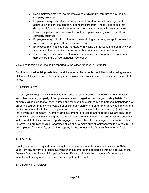- Non-employees may not solicit employees or distribute literature of any kind on company premises.
- Employees may only admit non-employees to work areas with management approval or as part of a company-sponsored program. These visits should not disrupt workflow. An employee must accompany the non-employee at all times. Former employees are not permitted onto company property except for official company business.
- Employees may not solicit other employees during work time, except in connection with a company-approved or sponsored event.
- Employees may not distribute literature of any kind during work times or in any work area at any time, except in connection with a company-sponsored event.
- The posting of materials and electronic announcements are permitted with prior approval from the Office Manager / Controller.

Violations to this policy should be reported to the Office Manager / Controller.

Distribution of advertising materials, handbills or other literature is prohibited in all working areas at all times. Solicitation and distribution by non-employees is prohibited on dealership premises at all times.

## **3.17 SECURITY**

It is everyone's responsibility to maintain the security of the dealership's buildings, our vehicles, and other company property. All employees are encouraged to practice good safety habits, for example: a) be sure that all cash, purses and other valuable company and personal belongings are properly secured; b) know the location of all company alarms and other emergency equipment, and familiarize yourself with the proper procedure for using them should the need arise; c) make sure that all vehicles (company, inventory, and customer's) are locked and that the keys are secured in the building; and d) when leaving the dealership, be sure that all doors and entrances are securely locked and that all alarms are properly engaged. If a member of the management team is the last to leave, you are responsible, regardless of job title, to make sure all entrances/exits are secure. If an employee feels unsafe, or that the property is unsafe, notify the General Manager or Dealer Principal.

#### **3.18 GIFTS**

Employees may not request or accept gifts, money, meals or entertainment in excess of \$25 per year from any current or prospective vendor or customer of the dealership without approval of the General Manager, Dealer Principal or Owner. Rewards directly from the manufacturer (sales incentives, training incentives, etc.) are exempt from this limit.

#### **3.19 PARKING AREAS**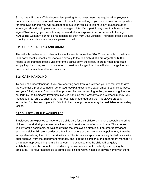So that we will have sufficient convenient parking for our customers, we require all employees to park their vehicles in the area designated for employee parking. If you park in an area not specified for employee parking, you will be asked to move your vehicle. If you have any questions as to where you should park, please ask you manager. Note: If you park in any area that is striped and signed "No Parking" your vehicle may be towed at your expense in accordance with the sign. NOTE: The Company cannot be responsible for theft from your vehicles. Therefore, please be sure to lock your vehicles when they are parked in the lot.

#### **3.20 CHECK CASHING AND CHANGE**

The office is unable to cash checks for employees for more than \$20.00, and unable to cash any third-party checks (checks not made out directly to the dealership). If a bill larger than \$20.00 needs to be changed, please visit one of the banks down the street. There is not a large cash supply kept in-house, and in most cases, to break a bill larger than that will shortchange the cash drawer that is maintained for *customer* use.

#### **3.21 CASH HANDLING**

.

To avoid misunderstandings, if you are receiving cash from a customer, you are required to give the customer a proper computer-generated receipt indicating the exact amount paid, its purpose, and your full signature. You must then process the cash according to the process and guidelines set forth by the Company. If your job involves handling the Company's or customer's money, you must take great care to ensure that it is never left unattended and that it is always properly accounted for. Any employee who fails to follow these procedures may be held liable for monetary losses.

#### **3.22 CHILDREN IN THE WORKPLACE**

Employees are expected to have reliable child care for their children. It is not acceptable to bring children to work during summer vacation, school breaks, or for after school care. This creates liability for the dealership, as well as dividing the employee's attention. If an emergency arises, such as a sick child care provider or a few hours before or after a medical appointment, it may be acceptable to bring the child to work with you. This is only acceptable on a very limited basis, with prior approval from the department manager, and is at the discretion of the department manager. If a manager approves bringing a child to work, it is expected that the child will be quiet, well-behaved, and be capable of entertaining themselves and not constantly interrupting the employee. It is never acceptable to bring a sick child to work, instead of staying home with them.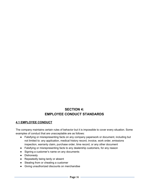# **SECTION 4: EMPLOYEE CONDUCT STANDARDS**

#### **4.1 EMPLOYEE CONDUCT**

The company maintains certain rules of behavior but it is impossible to cover every situation. Some examples of conduct that are unacceptable are as follows:

- Falsifying or misrepresenting facts on any company paperwork or document, including but not limited to: any application, medical history record, invoice, work order, emissions inspection, warranty claim, purchase order, time record, or any other document
- Falsifying or misrepresenting facts to any dealership customers, for any reason
- Signing a customer's name on any documents
- Dishonesty
- Repeatedly being tardy or absent
- Stealing from or cheating a customer
- Giving unauthorized discounts on merchandise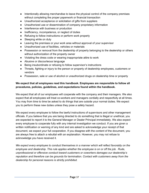- Intentionally allowing merchandise to leave the physical control of the company premises without completing the proper paperwork or financial transaction
- Unauthorized acceptance or solicitation of gifts from suppliers
- Unauthorized use or dissemination of company proprietary information
- Interference with business or production
- Inefficiency, incompetence, or neglect of duties
- Refusing to follow instructions or perform work properly
- Sleeping while on duty
- Leaving the premises or your work area without approval of your supervisor
- Unauthorized use of facilities, vehicles or materials
- Possession or removal from the dealership of property belonging to the dealership or others without authorization of the property owner
- Violating the dress code or wearing inappropriate attire to work
- Abusive or discourteous language
- Being insubordinate or refusing to follow supervisor's instructions
- Threats, fighting or injury to the person or property of dealership employees, customers or vendors
- Possession, sale or use of alcohol or unauthorized drugs on dealership time or property

### **We expect that all employees read this handbook. Employees are responsible to follow all procedures, policies, guidelines, and expectations found within the handbook.**

We expect that all of our employees will cooperate with the company and their managers. We also expect that all employees will treat co-workers and managers cordially and respectfully at all times. You may from time to time be asked to do things that are outside your normal duties. We expect you to perform these new duties unless they pose a safety hazard.

We expect every employee to follow the lawful instructions of supervisors and other management officials. If you believe that you are being directed to do something that is illegal or unethical, you are expected to report it to the General Manager or Dealer Principal immediately. We also expect every employee to cooperate fully with any internal investigation we conduct. If you are given a written notification or warning of any kind and are asked to acknowledge your receipt of that document, we expect your full cooperation. If you disagree with the content of the document, you are always free to attach a rebuttal with an explanation. However, you may not refuse to acknowledge you have received it.

*We expect every employee to conduct themselves in a manner which will reflect favorably on the employee and dealership. This rule applies whether the employee is on or off the job. Rude, unprofessional or offensive conduct toward customers or coworkers damages our dealership's reputation and therefore can be grounds for termination. Contact with customers away from the dealership for personal reasons is strictly prohibited.*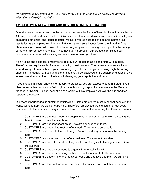*No employee may engage in any unlawful activity either on or off the job as this can adversely affect the dealership's reputation.*

### **4.2 CUSTOMER RELATIONS AND CONFIDENTIAL INFORMATION**

Over the years, the retail automobile business has been the focus of lawsuits, investigations by the Attorney General, and much public criticism as a result of a few dealers and dealership employees engaging in unethical and illegal conduct. We have worked hard to develop and maintain our reputation as a company with integrity that is more concerned about "doing the right thing" than about making a quick dollar. We will not allow any employee to damage our reputation by cutting corners or misrepresenting things. If you have to misrepresent our products or mislead our customers in order to make a sale, we do not want or need you here.

It only takes one dishonest employee to destroy our reputation as a dealership with integrity. Therefore, we require each of you to conduct yourself properly. Treat every customer as if you were dealing with a member of your own family. If you think what you are doing might be wrong or unethical, if probably is. If you think something should be disclosed to the customer, disclose it. No sale – no matter what the profit – is worth damaging your reputation and ours.

If you engage in illegal, unethical or deceptive practices, you can expect to be terminated. If you observe something which you feel might violate this policy, report it immediately to the General Manager or Dealer Principal so that we can look into it. No employee will ever be punished for reporting a concern.

Our most important goal is customer satisfaction. Customers are the most important people in the world. Without them, we would not be here. Therefore, employees are expected to treat every customer with the utmost courtesy and respect and to observe the following Ten Commandments:

- 1. CUSTOMERS are the most important people in our business, whether we are dealing with them in person or over the telephone.
- 2. CUSTOMERS are not dependent on us we are dependent on them.
- 3. CUSTOMERS are not an interruption of our work. They are the purpose for it.
- 4. CUSTOMERS favor us with their patronage. We are not doing them a favor by serving them.
- 5. CUSTOMERS are an essential part of our business. They are not outsiders.
- 6. CUSTOMERS are not cold statistics. They are human beings with feelings and emotions like our own.
- 7. CUSTOMERS are not just someone to argue with or match wits with.
- 8. CUSTOMERS are people who bring us their wants. It's our job to fill those wants.
- 9. CUSTOMERS are deserving of the most courteous and attentive treatment we can give them.
- 10. CUSTOMERS are the lifeblood of our business. Our survival and profitability depends on them.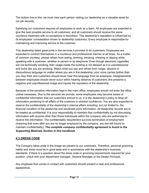The bottom line is this: we must view each person visiting our dealership as a valuable asset for our job security.

Satisfying our customers requires all employees to work as a team. All employees are expected to give the best possible service to all customers, and all customers should receive the same courteous treatment with no exceptions or favoritism. This dealership's reputation is influenced by its employees' consideration shown to dealership customers. Every employee is responsible for maintaining and improving service to the customer.

This dealership takes great pride in the services it provides to its customers. Employees are expected to conduct themselves in a courteous and professional manner at all times. As a matter of common courtesy, please refrain from eating, drinking, smoking, chewing or dipping while speaking with a customer, whether in person or by telephone. Even though electronic cigarettes are not technically smoking, their usage inside the building is not allowed as it is unprofessional and looks like you are smoking. Watch what you say and refrain from vulgar, abusive or discourteous language no matter where you are in the dealership; your voice carries farther than you may think and customers should never hear this language from an employee. Disagreements between employees should never occur within hearing distance of customers; this presents a negative and unprofessional image and injures the reputation of the dealership.

Because of the sensitive information kept in the main office, employees should not enter the office unless necessary. Due to the services we provide, some employees may become aware of confidential information that our customers entrust to us. *It is the dealership's policy to keep all information pertaining to all affairs of the customer in strictest confidence. You are also expected to reserve the confidentiality of the dealership's internal affairs including, but not limited to, the financial condition of the dealership and wholesale price information.* All dealership records are to be treated as confidential. It is your responsibility to maintain that confidentiality by not discussing information with anyone other than those individuals within the company who are authorized to receive the information. The confidentiality requirement survives termination of employment (meaning that even after you are no longer employed by the company, you are still bound to maintain confidentiality). *The complete company confidentiality agreement is found in the Supporting Materials Section in this handbook.*

### **4.3 DRESS CODE**

The Company takes pride in the image we present to our customers. Therefore, personal grooming habits and dress must be in good taste and in accordance with the dealership's business standards. If there is a question about the dress code or grooming requirements required for your position, check with your department manager, General Manager or the Dealer Principal.

Any employee that comes in contact with customers should present a neat and professional appearance.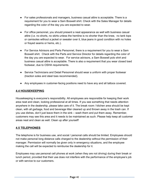- For sales professionals and managers, business casual attire is acceptable. There is a requirement for you to wear a Sam Boswell shirt. Check with the Sales Manager for details regarding the color of the day you are expected to wear.
- For office personnel, you should present a neat appearance as well with business casual attire (i.e. no shorts, no skirts unless the hemline is no shorter than the knee, no tank tops or camisoles without a jacket or sweater over it, blue jeans in good condition with no holes or frayed seams or hems, etc.).
- For Service Advisors and Parts Personnel, there is a requirement for you to wear a Sam Boswell shirt. Check with the Parts and Service Director for details regarding the color of the day you are expected to wear. For service advisors, a Sam Boswell polo shirt and business casual attire is acceptable. There is also a requirement that you wear closed toed footwear, due to OSHA requirements.
- Service Technicians and Detail Personnel should wear a uniform with proper footwear (traction soles and steel toes recommended).
- Any employees in customer-facing positions need to have any and all tattoos covered.

### **4.4 HOUSEKEEPING**

Housekeeping is everyone's responsibility. All employees are responsible for keeping their work area neat and clean, looking professional at all times. If you see something that needs attention anywhere in the dealership, please take care of it. The break room / kitchen area should be kept clean, with all garbage, food and beverage litter cleaned up and thrown away in the trash can. If you use dishes, don't just leave them in the sink – wash them and put them away. Remember, customers may see this area and it needs to be maintained as such. Please help keep all customer areas neat and clean as well. Clean up after yourself!

### **4.5 TELEPHONES**

The telephone is for business use, and social / personal calls should be limited. Employees should not make personal long distance calls charged to the dealership without the permission of their manager. Permission will normally be given only in emergency situations, and the employee making the call will be expected to reimburse the dealership for it.

Employees may use personal cell phones at work (when they are not driving) during their break or lunch period, provided that their use does not interfere with the performance of the employee's job or with service to our customers.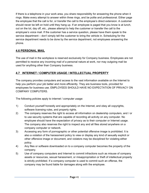If there is a telephone in your work area, you share responsibility for answering the phone when it rings. Make every attempt to answer within three rings, and be polite and professional. Either page the employee that the call is for, or transfer the call to the employee's direct extension. A customer should never be left on hold until they hang up. If an employee is paged that you know is at lunch, out on the lot, day off, etc., please attempt to help the customer or transfer the call to the employee's voice mail. If the customer has a service question, please have them speak to the service department – don't simply tell the customer to bring the vehicle in. Scheduling for the service department needs to be done by the service department, not employees answering the phone.

### **4.6 PERSONAL MAIL**

The use of mail in the workplace is reserved exclusively for Company business. Employees are not permitted to receive any incoming mail of a personal nature at work, nor may outgoing mail be used for anything other than Company business.

### **4.7 INTERNET / COMPUTER USAGE / INTELLECTUAL PROPERTY**

The company provides computers and access to the vast information available on the Internet to help you perform your job better and more efficiently. They are business tools, provided for employees for business use. EMPLOYEES SHOULD HAVE NO EXPECTATION OF PRIVACY ON COMPANY COMPUTERS.

The following policies apply to internet / computer usage:

- 1) Conduct yourself honestly and appropriately on the Internet, and obey all copyrights, software licensing rules, and property rights.
- 2) The company reserves the right to access all information on dealership computers, and / or to use security systems that are capable of recording all activity on any computer. No employee should have the expectation of privacy as to their computer or Internet usage. The company also reserves the right to inspect any and all files stored anywhere on a company computer or network.
- 3) Accessing any form of pornographic or other potential offensive image is prohibited. It is also a violation of the harassment policy to view or display any kind of sexually explicit or other offensive image or document, and violators may be disciplined for violating either policy.
- 4) Any files or software downloaded on to a company computer becomes the property of the company.
- 5) Use of company computers and Internet to commit infractions such as misuse of company assets or resources, sexual harassment, or misappropriation or theft of intellectual property is strictly prohibited. If a company computer is used to commit such an offense, the company may be found liable for damages along with the employee.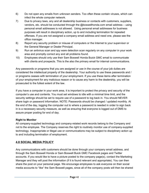- 6) Do not open any emails from unknown senders. Too often these contain viruses, which can infect the whole computer network.
- 7) Due to privacy laws, any and all dealership business or contacts with customers, suppliers, vendors, etc. should be conducted through the @boswellhonda.com email address – using personal email addresses is not allowed. Using personal email addresses for business purposes will result in disciplinary action, up to and including termination for repeated offenses. If you are not assigned a company email address and need one, please see the office manager.
- 8) Report any security problem or misuse of computers or the Internet to your supervisor or the General Manager or Dealer Principal.
- 9) Run an antivirus scan and spy ware detection scan regularly on any computer in your work area and promptly correct any and all problems found.
- 10) Employees should only use their Sam Boswell Honda Buick GMC email to communicate with clients and prospects. This is the also the primary email for internal communications.

Any passwords or programs that you are assigned or use in the course of your job duties are considered the intellectual property of the dealership. Your authority to use these passwords and / or programs ceases with termination of your employment. If you use these items after termination of your employment for any malicious reason or to cause any harm to the dealership, you will be prosecuted to the fullest extent of the law.

If you have a computer in your work area, it is important to protect the privacy and security of the computer's use and contents. You must set windows to idle with a minimal time limit, and the security settings should be set to require use of a password to log back in. You should NEVER share login or password information. NOTE: Passwords should be changed / updated monthly. At the end of the day, logging the computer out to where a password is needed in order to sign back in is a necessary security measure, as well as ensuring that everyone is logged out of DMS to assure proper posting for end of day.

### **Right to Monitor**

All company-supplied technology and company-related work records belong to the Company and not to the employee. The Company reserves the right to routinely monitor use of company-supplied technology. Inappropriate or illegal use or communications may be subject to disciplinary action up to and including termination of employment.

# **4.8 SOCIAL MEDIA POLICY**

Any communications with customers should be done through your company email address, and through the Sam Boswell Honda or Sam Boswell Buick GMC Facebook pages and Twitter accounts. If you would like to have a picture posted to the company page(s), contact the Marketing Manager and they will post the information (if it is found relevant and appropriate). You can then share the post on your personal page. We encourage employees to ask everyone on their social media accounts to "like" the Sam Boswell pages, since all of the company posts will then be shared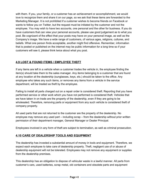with them. If you, your family, or a customer has an achievement or accomplishment, we would love to recognize them and share it on our page, so we ask that these items are forwarded to the Marketing Manager. It is not prohibited if a customer wishes to become friends on Facebook or wants to follow you on Twitter, but the request must be initiated by the customer and not the employee. You may wish to have two accounts, one personal and the other for business. If you do have customers that can view your personal accounts, please use good judgement as to what you post. Be cognizant of the effect that your posts may have on your personal image, as well as the Company's image. We have a wide range of customers, of various ages, religions, cultures, and beliefs. What one person finds acceptable, another might find offensive. Remember, information that is posted or published on the internet may be public information for a long time so if your customers will see it, please think twice about what you post.

### **4.9 LOST & FOUND ITEMS / EMPLOYEE THEFT**

If any items are left in a vehicle when a customer trades the vehicle in, the employee finding the item(s) should take them to the sales manager. Any items belonging to a customer that are found at any location at the dealership (sunglasses, keys, etc.) should be taken to the office. Any employee who takes any such items, or removes any items from a vehicle in the service department, will be treated as theft by the employee.

Failing to install all parts charged out on a repair order is considered theft. Reporting that you have performed service or other work which you have not performed is considered theft. Vehicles that we have taken in on trade are the property of the dealership, even if they are going to be wholesaled. Therefore, removing parts or equipment from any such vehicle is considered theft of company property.

All used parts that are not returned to the customer are the property of the dealership. No employee may remove any used part – including scrap – from the dealership without prior written permission of their department manager, General Manager or Dealer Principal.

Employees involved in any form of theft are subject to termination, as well as criminal prosecution.

### **4.10 CARE OF DEALERSHIP TOOLS AND EQUIPMENT**

The dealership has invested a substantial amount of money in tools and equipment. Therefore, we expect each employee to take care of dealership property. Theft, negligent use of or abuse of dealership equipment will not be tolerated. Employees may not remove any equipment or supplies from the dealership premises.

This dealership has an obligation to dispose of vehicular waste in a lawful manner. All parts from customer's cars, used batteries, scrap metal, old containers and obsolete parts and equipment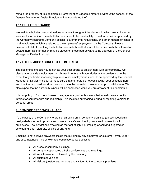remain the property of this dealership. Removal of salvageable materials without the consent of the General Manager or Dealer Principal will be considered theft.

### **4.11 BULLETIN BOARDS**

We maintain bulletin boards at various locations throughout the dealership which are an important source of information. These bulletin boards are to be used solely to post information approved by the Company regarding Company policies, governmental regulations, and other matters or concern to all employees which are related to the employees' employment by the Company. Please develop a habit of checking the bulletin boards daily so that you will be familiar with the information posted there. No information may be placed on these boards without the approval of the General Manager or Dealer Principal.

### **4.12 OTHER JOBS / CONFLICT OF INTEREST**

The dealership expects you to devote your best efforts to employment with our company. We discourage outside employment, which may interfere with your duties at the dealership. In the event that you find it necessary to pursue other employment, it should be approved by the General Manager or Dealer Principal to make sure that the hours do not conflict with your schedule here, and that the proposed workload does not have the potential to lessen your productivity here. We also expect that no outside business will be conducted while you are at work at this dealership.

It is our policy to forbid employees to engage in any other business that would create a conflict of interest or compete with our dealership. This includes purchasing, selling or repairing vehicles for personal profit.

# **4.13 SMOKE FREE WORKPLACE**

It's the policy of the Company to prohibit smoking on all company premises (unless specifically designated) in order to provide and maintain a safe and healthy work environment for all employees. The law defines smoking as the "act of lighting, smoking or carrying a lighted or smoldering cigar, cigarette or pipe of any kind."

Smoking is not allowed anywhere inside the building by any employee or customer, ever, under any circumstances. The smoke free workplace policy applies to:

- All areas of company buildings.
- All company-sponsored off-site conferences and meetings.
- All vehicles owned or leased by the company.
- All customer vehicles.
- All visitors (customers, vendors and visitors) to the company premises.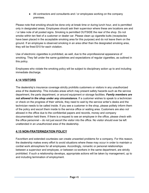• All contractors and consultants and / or employees working on the company premises.

Please note that smoking should be done only at break time or during lunch hour, and is permitted only in designated areas. Employees should ask their supervisor where these are locations are and / or take note of all posted signs. Smoking is permitted OUTSIDE the rear of the shop. Do not smoke within ten feet of a customer or dealer car. Please clean up cigarette butts (receptacles have been placed in the acceptable smoking area for this purpose) and do not leave them on the ground. If an employee is observed smoking in an area other than the designated smoking area, they will be fined \$10 for each violation.

Use of electronic cigarettes is prohibited, as well, due to the unprofessional appearance of smoking. They fall under the same guidelines and expectations of regular cigarettes, as outlined in this policy.

Employees who violate the smoking policy will be subject to disciplinary action up to and including immediate discharge.

# **4.14 VISITORS**

The dealership's insurance coverage strictly prohibits customers or visitors in any unauthorized area of the dealership. This includes areas which may present safety hazards such as the service department, the parts department, or around equipment or storage facilities. *Family members are not allowed in the shop under any circumstance.* If a customer wishes to speak to a technician or check on the progress of their vehicle, they need to wait by the service writer's desks and the technician needs to be called inside. If you see a customer in the shop, please politely inform them of the policy and escort them inside to the service office or waiting area. Customers are also *not* allowed in the office due to the confidential papers and records, money and company documentation held there. If there is a request to see an employee in the office, please check with the office personnel – do not just escort the visitor into the office. No visitor should ever be left unattended in an unauthorized area of the dealership.

### **4.15 NON-FRATERNIZATION POLICY**

Favoritism and extended courtesies can create unwanted problems for a company. For this reason, the dealership makes every effort to avoid situations where these may occur in order to maintain a cordial work atmosphere for all employees. Accordingly, romantic or personal relationships between a supervisor and employee, or between co-workers in the same department, are strictly prohibited. If such a relationship develops, appropriate actions will be taken by management, up to and including termination of employment.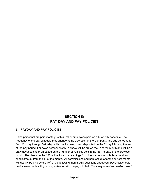# **SECTION 5: PAY DAY AND PAY POLICIES**

### **5.1 PAYDAY AND PAY POLICIES**

Sales personnel are paid monthly, with all other employees paid on a bi-weekly schedule. The frequency of the pay schedule may change at the discretion of the Company. The pay period runs from Monday through Saturday, with checks being direct-deposited on the Friday following the end of the pay period. For sales personnel only, a check will be cut on the  $1<sup>st</sup>$  of the month and will be a draw/advance check on based on the number of vehicles sold in the first 15 days of the previous month. The check on the  $15<sup>th</sup>$  will be for actual earnings from the previous month, less the draw check amount from the 1<sup>st</sup> of the month. All commissions and bonuses due for the current month will usually be paid by the 15<sup>th</sup> of the following month. Any questions about your paycheck should be discussed only with your supervisor or with the payroll clerk. *Your pay is not to be discussed*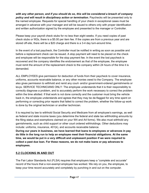*with any other person, and if you should do so, this will be considered a breach of company policy and will result in disciplinary action or termination.* Paychecks will be presented only to the named employee. Requests for special handling of your check in exceptional cases must be arranged in advance with your manager and will be issued to others only with proper identification and written authorization signed by the employee and presented to the manager or Controller.

Please keep your payroll check stubs for no less than eight weeks. If you need copies of past check stubs or W2s, there is a \$5.00 per item fee. If the copies are from a previous year and are stored off-site, there will be a \$20 charge and there is a 3-4 day turn-around time.

In the event of a lost paycheck, the Controller must be notified in writing as soon as possible and before a replacement check can be issued. A stop payment will need to be placed on the check and employee will be responsible for the stop payment fee. In the event the lost paycheck is recovered and the company identifies the endorsement as that of the employee, the employee must remit the amount of the replacement check to the company within 24 hours of the time it is demanded.

ALL EMPLOYEES give permission for deduction of funds from their paycheck to cover insurance, uniforms, accounts receivable balance, or any other monies owed to the Company. The employee also gives permission to withhold and remit any court- and/or government-ordered garnishments or levys. SERVICE TECHNICIANS ONLY: The employee understands that it is their responsibility to correctly diagnose a problem, and to accurately perform the work necessary to correct the problem within the time allotted. If that work is not done correctly and the customer must bring the vehicle back in, the employee understands and agrees that they may be de-flagged for any time spent on performing or correcting prior repairs that failed to correct the problem, whether the follow-up work is done by the original technician or another technician.

It is required by law to withhold Social Security and Medicare from all employee's earnings, as well as federal and state income taxes (you determine the federal and state tax withholding amounts by the filing status and exemptions claimed on your W4 and A4 forms). We also must withhold any garnishments, such as child support or other court ordered withholdings. Other deductions may include: uniforms, insurance, 401(k), and accounts receivable balance.

**During our years in business, we have learned that loans to employees or advances in pay do little in the long run to help an employee meet their financial obligations. At the same time, we would be put in a very difficult and unpleasant position if we were required to collect a past due loan. For these reasons, we do not make loans or pay advances to employees.**

### **5.2 CLOCKING IN AND OUT**

The Fair Labor Standards Act (FLSA) requires that employers keep a "complete and accurate" record of the hours that a non-exempt employee has worked. We rely on you, the employee, to keep your time record accurately and completely by punching in and out on the computer.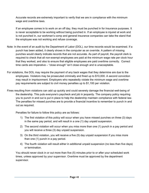Accurate records are extremely important to verify that we are in compliance with the minimum wage and overtime laws.

If an employee comes in to work on an off day, they must be punched in for insurance purposes. It is never acceptable to be working without being punched in. If an employee is injured at work and is not punched in, our workman's comp and general insurance companies can take the stand that the employee was not working and refuse coverage.

- Note: In the event of an audit by the Department of Labor (DOL), our time records would be examined. If a punch has been added, it clearly shows in the computer as an override. A pattern of missing punches would clearly indicate records that are not accurate. As part of payroll, the payroll clerk is required to check that all non-exempt employees are paid at the minimum wage rate per clock hour that they worked, and also to ensure that eligible employees are paid overtime correctly. Correct time cards are imperative – "close enough" isn't close enough and is unacceptable.
- For violations, the DOL may require the payment of any back wages that they determine are due to the employees. Violators may be prosecuted criminally and fined up to \$10,000. A second conviction may result in imprisonment. Employers who repeatedly violate the minimum wage and overtime pay requirements are subject to civil money penalties up to \$1,100 per violation.
- Fines resulting from violations can add up quickly and could severely damage the financial well-being of the dealership. This puts everyone's paycheck and job in jeopardy. The company policy requiring you to punch in and out is put in place to help the dealership maintain compliance with federal law. The penalties for missed punches are to provide a financial incentive to remember to punch in and out as required.

Penalties for failure to follow this policy are as follows:

- 1) The first violation of this policy will occur when you have missed punches on three (3) days in the same pay period, and will result in a one (1) day unpaid suspension.
- 2) The second violation will occur when you miss more than one (1) punch in a pay period and you will receive a three (3) day unpaid suspension.
- 3) On the third violation, you will receive a five (5) day unpaid suspension if you miss more than one (1) punch in a pay period.
- 4) The fourth violation will result either in additional unpaid suspension (no less than five days) or termination.

You should never clock in or out more than five (5) minutes prior to or after your scheduled work times, unless approved by your supervisor. Overtime must be approved by the department supervisor.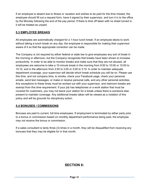If an employee is absent due to illness or vacation and wishes to be paid for the time missed, the employee should fill out a request form, have it signed by their supervisor, and turn it in to the office by the Monday following the end of the pay period. If there is time off taken with no sheet turned in, it will be treated as unpaid.

### **5.3 EMPLOYEE BREAKS**

All employees are automatically charged for a 1-hour lunch break. If an employee elects to work without taking a lunch break on any day, the employee is responsible for making their supervisor aware of it so that the appropriate correction can be made.

The Company is not required by either federal or state law to give employees any sort of break in the morning or afternoon, but the Company recognizes that breaks have been shown to increase productivity. In order to be able to monitor breaks and make sure that they are not abused, all employees are welcome to take a 10-minute break in the morning from 9:50 to 10:00 or 10:00 to 10:10, and in the afternoon from 2:50 to 3:00 or 3:00 to 3:10. In order to maintain adequate department coverage, your supervisor will decide which break schedule you will be on. Please use this time, and not company time, to smoke, check your Facebook page, check your personal emails, send text messages, or make or receive personal calls, and any other personal activities. Any exceptions to these times must be worked out with your supervisor, and restroom breaks are exempt from this time requirement. If your job has telephones or a work station that must be covered for customers, you may not leave your station for a break unless there is someone else present to maintain coverage. Any additional breaks taken will be viewed as a violation of this policy and will be grounds for disciplinary action.

### **5.4 BONUSES / COMMISSIONS**

Bonuses are paid to current, full time employees. If employment is terminated by either party prior to a bonus or commission based on monthly department performance being paid, the employee may not receive the bonus or commission.

If a sales consultant is tardy three (3) times in a month, they will be disqualified from receiving any bonuses that they may be eligible for in that month.

# **SECTION 6:**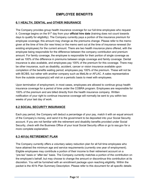# **EMPLOYEE BENEFITS**

### **6.1 HEALTH, DENTAL and OTHER INSURANCE**

The Company provides group health insurance coverage for our full-time employees who request it. Coverage begins on the 91<sup>st</sup> day from your **official hire date** (training does not count towards days to qualify for eligibility). The Company currently pays a portion of the insurance premium for employee coverage; this amount may change as the premiums change. Please refer to the memo given at the time of hire (for new hires) or the memo sent out at the time of insurance renewal (for existing employees) for the current amount. There are two health insurance plans offered, with the employee being responsible for the difference between the company contribution and premium amount. For family coverage, the employee is responsible for their portion of single coverage as well as 100% of the difference in premiums between single coverage and family coverage. Dental insurance is also available, and employees pay 100% of the premium for this coverage. There may be other insurance, such as disability, accident, cancer or vision insurance available upon completion of the benefits waiting period; employees pay 100% of the premium. These will not be with BC/BS, but rather with another company such as MetLife or AFLAC. A sales representative from the outside company(s) will visit on a periodic basis to meet with employees.

Upon termination of employment, in most cases, employees are allowed to continue group health insurance coverage for a period of time under the COBRA program. Employees are responsible for 100% of the premium and are billed directly from the health insurance company. Written notification of your right to continue insurance coverage will normally be sent to you within two weeks of your last day of work.

### **6.2 SOCIAL SECURITY INSURANCE**

Each pay period, the Company will deduct a percentage of your pay, match it with an equal amount of the Company's money, and send it to the government to be deposited into your Social Security account. If you are not familiar with the retirement and disability benefits provided under Social Security, check with the Business Office of your local Social Security office or go to ssa.gov for a more complete explanation.

### **6.3 401(k) RETIREMENT PLAN**

The Company currently offers a voluntary salary reduction plan for all full time employees who have attained the minimum age and service requirements (currently one year of employment). Eligible employees may contribute a portion of their income to their retirement account on a "pre-tax" basis or "after-tax" basis. The Company currently matches a portion of the contribution on the employee's behalf, but may choose to change the amount or discontinue this contribution at its discretion. You will be furnished with an enrollment package upon reaching eligibility. Within the packet is the 401k Plan Summary Description. Please refer to this document for all specific details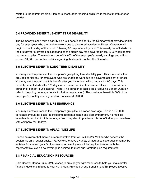related to the retirement plan. Plan enrollment, after reaching eligibility, is the last month of each quarter.

### **6.4 PROVIDED BENEFIT : SHORT TERM DISABILITY**

The Company's short term disability plan is a benefit paid for by the Company that provides partial pay for employees who are unable to work due to a covered accident or illness. Coverage will begin on the first day of the month following 90 days of employment. This weekly benefit starts on the first day for a covered accident and on the eighth day for a covered illness. A 26-week benefit maximum applies. The maximum benefit is 60% of the employee's weekly earnings and will not exceed \$1,500. For further details regarding this benefit, contact the Controller.

### **6.5 ELECTIVE BENEFIT: LONG TERM DISABILITY**

You may elect to purchase the Company's group long term disability plan. This is a benefit that provides partial pay for employees who are unable to work due to a covered accident or illness. You may elect to purchase this benefit after you have been with company for 90 days. This monthly benefit starts after 180 days for a covered accident or covered illness. The maximum duration of benefit is until age 65. (Note: This duration is based on a Reducing Benefit Duration – refer to the policy coverage details for further explanation). The maximum benefit is 60% of the employee's monthly earnings and will not exceed \$6,000.

### **6.6 ELECTIVE BENEFIT: LIFE INSURANCE**

You may elect to purchase the Company's group life insurance coverage. This is a \$50,000 coverage amount for basic life including accidental death and dismemberment. No medical interview is required for this coverage. You may elect to purchase this benefit after you have been with company for 90 days.

# **6.7 ELECTIVE BENEFIT: AFLAC / METLIFE**

Please be aware that there is a representative from AFLAC and/or MetLife who services the dealership on a regular basis. AFLAC/MetLife have a variety of insurance coverages that may be suitable for you and your family's needs. All employees will be required to meet with this representative, even if no coverage is desired, to meet our Cafeteria plan requirements.

# **6.8 FINANCIAL EDUCATION RESOURCES**

Sam Boswell Honda Buick GMC wishes to provide you with resources to help you make better financial decisions related to your 401k Plan, Provided Group Benefits, and Employee Elective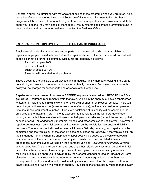Benefits. You will be furnished with materials that outline these programs when you are hired. Also, these benefits are mentioned throughout Section 6 of this manual. Representatives for these programs will be available throughout the year to answer your questions and provide more details about your options. You may also call them at any time by referencing contact information found in their handouts and brochures or feel free to contact the Business Office.

### **6.9 REPAIRS ON EMPLOYEE VEHICLES OR PARTS PURCHASED**

Employees should talk to the service and/or parts manager regarding discounts available on repairs to employee owned vehicles before the repair is started or the part is ordered. Advertised specials cannot be further discounted. Discounts are generally as follows:

Parts at cost plus 20% Labor at internal rates Sublet at cost plus 10% Sales tax will be added to all purchases

These discounts are available to employees and immediate family members residing in the same household, and are not to be extended to any other family members. Employees who violate this policy will be charged for cost of parts and/or repairs at full retail price.

**Repairs must be approved in advance BEFORE any work is started and BEFORE the RO is generated.** Insurance requirements state that *every* vehicle in the shop must have a repair order written on it, including technicians working on their own or another employees' vehicle. There will be a charge on these vehicles (even for work done after hours), as there is a cost for employees time, insurance, equipment, supplies, utilities, etc. Violations of this policy will be charged to the employee at the maximum rate. The only exception to this rule is on the last Saturday of each month, when technicians are allowed to work on their personal vehicles (or vehicles owned by their spouse or child – extended family members, friends, and other employees not allowed); however, a repair order (not just a parts ticket) must still be written on the vehicle for insurance and liability purposes. The vehicle is not allowed to be on a lift before Saturday morning, and repairs must be completed and the vehicle out of the shop by close of business on Saturday. If the vehicle is still on the lift Monday morning when the shop opens, labor cost will be added to the vehicle at regular customer rates. If there is customer or company work available to be completed, it takes precedence over employees working on their personal vehicles – *customer or company vehicles always come first!* Any and all parts, repairs, and any other related services must be paid for in full before the vehicle or part(s) leaves the premises. If an employee wishes to pay by accounts receivable, it must be approved **in advance** by the General Manager or Dealer Principal. All items placed on an accounts receivable account must be in an amount equal to no more than one average week's net pay, and must be paid in full by making no more than two payments through payroll deductions or within two weeks of charge. Any exceptions to this policy must be made *prior*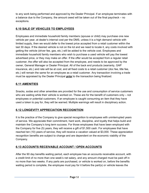to any work being performed and approved by the Dealer Principal. If an employee terminates with a balance due to the Company, the amount owed will be taken out of the final paycheck – no exceptions.

## **6.10 SALE OF VEHICLES TO EMPLOYEES**

Employees and immediate household family members (spouse or child) may purchase one new vehicle per year, at dealer's internal cost per the DMS, unless it is a high demand vehicle with limited supply, then we would defer to the lowest price accepted from a retail customer within the last 30 days. If the desired vehicle is not on the lot and we need to locate it, any costs involved with getting the vehicle (driver fee, gas, etc.) will be added to the vehicle cost. Employees and immediate household family members who wish to purchase a used vehicle will pay the lowest advertised price, or they may make an offer. If the offer would be accepted from a regular retail customer, the offer will also be accepted from the employee, and needs to be approved by the owner, General Manager or Dealer Principal. All of the back end products (warranty, GAP insurance, etc.) and rate will be at cost, and all fixed costs to a retail customer (doc fee, title fee, etc.) will remain the same for an employee as a retail customer. Any transaction involving a trade must be appraised by the Dealer Principal *prior* to the transaction being finalized.

### **6.11 AMENITIES**

Snacks, sodas and other amenities are provided for the use and consumption of service customers who are waiting while their vehicle is worked on. These are for the benefit of customers only – not employees or potential customers. If an employee is caught consuming an item that they have used a token to pay for, they will be warned. Multiple warnings will result in disciplinary action.

### **6.12 LONGEVITY APPRECIATION RECOGNITION**

It is the practice of the Company to give special recognition to employees with uninterrupted years of service. We appreciate their commitment, hard work, discipline, and loyalty that helps build and maintain the Company's long term success. For those employees that have been employed with the Company for five (5) years, they will receive a gift of \$1,500 cash. For employees that have reached ten (10) years of service, they will receive a vacation valued at \$3,000. These appreciation recognition benefits are subject to change and are dependent on the economic viability of the Company.

# **6.13 ACCOUNTS RECEIVABLE ACCOUNT / OPEN ACCOUNTS**

After the 90 day benefits waiting period, each employee has an accounts receivable account, with a credit limit of no more than one week's net salary, and any amount charged must be paid off in no more than two weeks. If any parts are purchased, or vehicle is worked on, before the benefits waiting period is complete, the employee must pay for it before the part(s) or vehicle leaves the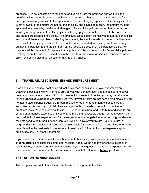premises - it is not acceptable to take parts or a vehicle from the premises and wait until the benefits waiting period is over to complete the ticket and to charge it. It is only acceptable for employees to charge repairs to their personal vehicles – charging repairs for other family members is not allowed. If the amount will not be paid in full by one payroll deduction, the amount must be approved in advance by the General Manager or Dealer Principal. Any items charged must be paid in full by making no more than two payments through payroll deduction. Forms to be completed and signed are located in the office. If an employee takes it upon themselves to approve an excess amount and there is a problem collecting the amount, the employee who approved it will become responsible for any unpaid amount. There will be a payment deducted every week toward any outstanding balance due to the company on the receivable account. If the balance is zero, no payment will be deducted. Exceptions to this policy must be approved by the Dealer Principal *prior* to charging on the account. Exceptions to the 90 rule will be made for shirts and business cards only – everything else must be paid for at time of purchase.

### **6.14 TRAVEL RELATED EXPENSES AND REIMBURSEMENT**

If we send you to school, continuing education classes, or ask you to travel out of town on Dealership business, we will normally provide you with transportation and a credit card to cover hotel accommodations, gas and food. In the event you are out of pocket, you may be reimbursed for all **authorized expenses** associated with your travel. Snacks are not considered meals and are not authorized expenses. Alcohol, in room movies, or other entertainment expenses are NOT authorized expenses. If your hotel offers a complimentary breakfast, we will not provide for breakfast costs. Your cap for breakfast is \$10, lunch is up to \$15, and up to \$25 for dinner. If you charge unauthorized expenses or if you charge more than allowable budget for food, you will be responsible for those expenses and/or the excess over the budgeted amount. All **original detailed** receipts need to be turned in to the Controller within 2 days of your return. Failure to turn in **original detailed** receipts will result in you being liable for the charged expenses. Failure to return receipts within the designated time frame will result in a \$10 fine. Authorized expenses apply to employees only - NO family members.

If you need to submit a request for reimbursement (this is very rare), please be sure to include all **original detailed** receipts including meal receipts. Again, we do not pay for snacks, alcohol, in room movies, or other entertainment expenses. If you have questions as to what expenses we will reimburse or what documentation we require, check with the Controller **before** you leave.

### **6.15 TUITION REIMBURSEMENT**

The company does not offer a tuition reimbursement program at this time.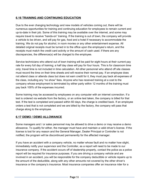## **6.16 TRAINING AND CONTINUING EDUCATION**

Due to the ever changing technology and new models of vehicles coming out, there will be numerous opportunities for training and continuing education for employees to remain current and up-to-date in their job. Some of this training may be available over the internet, and some may require travel to receive "hands-on" training. If the training is out of town, the company will provide a vehicle to be driven, and will pay for gas, food and a hotel if necessary to accommodate the training. We do not pay for alcohol, in room movies or any other entertainment expense. All detailed original receipts must be turned in to the office upon the employee's return, and the receipts must match the credit card activity or the amount of cash used. If there are any discrepancies, the difference(s) will be charged to the employee.

Service technicians who attend out of town training will be paid for eight hours at their current pay rate for every full day of training; a half day class will pay for four hours. This is for classroom time only; travel time is not included in time calculation. All other personnel who attend off site classes must record the time on their time sheets and will receive their normal pay. If an employee does not attend class or attends class but does not earn credit for it, they must pay back all expenses of the class, including any "no show" fees. Anyone who has received training at a cost to the company whose employment is terminated by either party within 12 months of the training must pay back 100% of the expenses incurred.

Some training may be accessed by employees on any computer with an internet connection. If a test is ordered via website from the factory, or an online test taken, the company is billed for that test. If the test is completed and passed within 60 days, the charge is credited back. If an employee orders a test that is not completed and we are billed by the factory, the company will pass that charge along to the employee.

### **6.17 DEMO / DEMO ALLOWANCE**

Some managers and / or sales personnel may be allowed to drive a demo or may receive a demo allowance. To qualify for either, the manager must have and maintain a valid driver's license. If the license is lost for any reason and the General Manager, Dealer Principal or Controller is not notified, the program will be discontinued permanently for the affected manager.

If you have an accident with a company vehicle, no matter whose fault and no matter how slight, immediately notify your supervisor and the Controller, as a report will need to be made to our insurance company. If the accident occurs off of dealership property, contact the police as a police report will be required for insurance purposes. If you are driving a company vehicle and are involved in an accident, you will be responsible for the company deductible or vehicle repairs up to the amount of the deductible, along with any other amounts not covered by the other driver's insurance or the company's insurance. Most insurance companies offer an insurance rider for a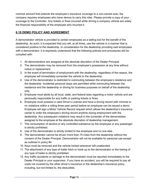nominal amount that extends the employee's insurance coverage to a non-owned auto; the company requires employees who have demos to carry this rider. Please provide a copy of your coverage to the Controller. Any tickets or fines incurred while driving a company vehicle are solely the financial responsibility of the employee who incurred it.

### **6.18 DEMO POLICY AND AGREEMENT**

A demonstrator vehicle is provided to certain employees as a selling tool for the benefit of the dealership. As such, it is expected that you will, at all times, use the vehicle in a manner that is considered positive to the dealership. In consideration for the dealership providing said employees with a demonstrator, it is expressly understood that the following policies and procedures will be complied with:

- 1. All demonstrators are assigned at the absolute discretion of the Dealer Principal.
- 2. The demonstrator may be removed from the employee's possession at any time without notice or replacement.
- 3. In the event of termination of employment with the dealership, regardless of the reason, the employee will immediately surrender the vehicle to the dealership.
- 4. Use of the demonstrator is restricted to commuting between the employee's residence and the dealership. Incidental personal stops are permitted while commuting between the residence and the dealership or driving for business purposes on behalf of the dealership only.
- 5. Employee must abide by all local, state, and federal laws regarding a motor vehicle and are personally responsible for any traffic or parking tickets or fines.
- 6. Employee must possess a valid Driver's License and have a driving record with minimal or no violations within a rolling three-year period before an employee can be issued a demo. Employee will sign a Motor Vehicle Record request which allows the dealership's insurance carrier to order the employee's driving record anytime during employment with the dealership. Any subsequent violations may result in the surrender of the demonstrator assigned to the employee at the absolute discretion of dealership management.
- 7. The consumption of alcohol or any controlled substance by the employee or any passenger is strictly prohibited.
- 8. Use of the demonstrator is strictly limited to the employee and no one else.
- 9. The demonstrator cannot be driven more than 75 miles from the dealership without the consent of the Dealer Principal. Demonstrator will not be available for personal use except as outlined in policy #4.
- 10. Keys must be removed and the vehicle locked whenever left unattended.
- 11. The attachment of any type of trailer hitch or hook-up to the demonstrator or the towing of any type of trailer is strictly prohibited.
- 12. Any traffic accidents or damage to the demonstrator must be reported immediately to the Dealer Principal or your supervisor. If you have an accident, you will be required to pay all costs not covered by the other driver's insurance or the dealership's insurance policy including, but not limited to, the deductible.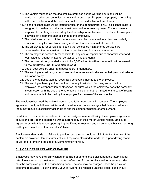- 13. The vehicle must be on the dealership's premises during working hours and will be available to other personnel for demonstration purposes. No personal property is to be kept in the demonstrator and the dealership will not be held liable for loss of same.
- 14. A dealer license plate will be issued for use on the demonstrator only. This license plate is assigned to the demonstrator and must be turned in for reassignment. The employee is responsible for charges incurred by the dealership for replacement of a dealer license plate lost while on a demonstrator assigned to the employee.
- 15. The interior and exterior of the demonstrator must be maintained in a clean and orderly condition, ready for sale. No smoking is allowed in any demonstrator vehicle.
- 16. The employee is responsible for seeing that scheduled maintenance services are performed on the demonstrator at the proper time and / or mileage intervals.
- 17. The employee is personally responsible for any and all repairs due to abnormal wear and tear including, but not limited to, scratches, dings and dents.
- 18. The demo must be grounded when it hits 5,000 miles. **Another demo will not be issued to the employee until this vehicle is sold!**
- 19. Use of seat belts by driver and passengers is mandatory.
- 20. The employee must carry an endorsement for non-owned vehicles on their personal vehicle insurance policy.
- 21. Use of the demonstrators is recognized as taxable income to the employee.
- 22. The employee hereby authorizes the company to withhold from any sums due the employee, as compensation or otherwise, all sums which the employee owes the company in connection with the use of the automobile, including, but not limited to: the cost of repairs and the amounts to be paid by the employee for the use of the automobile.

The employee has read the entire document and fully understands its contents. The employee agrees to comply with these policies and procedures and acknowledges that failure to adhere to them may result in disciplinary action up to and including termination of employment.

In addition to the conditions outlined in the Demo Agreement and Policy, the employee agrees to secure and provide the dealership with a current copy of their Motor Vehicle report. Employee agrees to provide this report upon signing the Demo Agreement and on an annual basis for as long as they are provided a Demonstrator Vehicle.

Employee understands that failure to provide such a report could result in forfeiting the use of the dealership provided Demonstrator Vehicle. Employee also understands that a poor driving record could lead to forfeiting the use of a Demonstrator Vehicle.

### **6.19 CAR DETAILING AND CLEAN UP**

Employees may have their car washed or detailed at an employee discount at the internal labor rate. Please know that customer cars have preference of order for this service. A service order must be completed prior to service being done. The cost may be charged under the policy for accounts receivable. If paying direct, your car will not be released until the order is paid in full.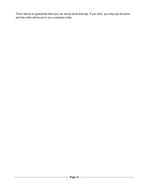There will be no guarantee that your car will be done that day. If you wish, you may pay full price and the order will be put in as a customer order.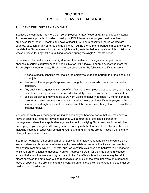# **SECTION 7: TIME OFF / LEAVES OF ABSENCE**

### **7.1 LEAVE WITHOUT PAY AND FMLA**

Because the company has more than 50 employees, FMLA (Federal Family and Medical Leave Act) rules are applicable. In order to qualify for FMLA leave, an employee must have been employed for at least 12 months and have at least 1,250 hours of service (hours worked are counted, vacation or any other paid time off is not) during the 12 month period immediately before the date the FMLA leave is to start. An eligible employee is limited to a *combined* total of 26 work weeks of leave for **any** FMLA-qualifying reasons during the single 12 month period.

In the event of a health crisis or family disaster, the dealership may grant an unpaid leave of absence in certain circumstances (if not eligible for FMLA leave). For employees who meet the FMLA eligibility requirements, FMLA leave can be taken for the following qualifying reasons:

- A serious health condition that makes the employee unable to perform the functions of his or her job.
- To care for the employee's spouse, son, daughter, or parent who has a serious health condition.
- Any qualifying exigency arising out of the fact that the employee's spouse, son, daughter, or parent is a military member on covered active duty or call to covered active duty status.
- Eligible employees may take up to 26 work weeks of leave in a single 12 month period to care for a covered service member with a serious injury or illness if the employee is the spouse, son, daughter, parent, or next of kin of the service member (referred to as military caregiver leave).

You should notify your manager in writing as soon as you become aware that you may need a leave of absence. Personal leaves of absence will be granted at the sole discretion of management, absent any applicable legal entitlement (qualifying FMLA reasons for an eligible employee). If you are granted leave, you must comply with the terms and conditions of the leave, including keeping in touch with us during your leave, and giving us prompt notice if there is any change in your return date.

You must not accept other employment or apply for unemployment benefits while you are on a leave of absence. Acceptance of other employment while on leave will be treated as voluntary resignation from employment. Benefits, such as vacation, sick days and holidays, will not accrue while you are on a leave of absence. You will not receive credit for the time during any leave, except that you will retain your original date of hire. Benefits such as insurance may be left in place; however, the employee will be responsible for 100% of the premium while on a personal leave of absence. The premiums to any insurance an employee wishes to keep in place must be paid a month in advance.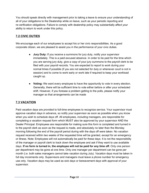You should speak directly with management prior to taking a leave to ensure your understanding of all of your obligations to the Dealership while on leave, such as your periodic reporting and re-verification obligations. Failure to comply with dealership policy may substantially affect your ability to return to work under this policy.

# **7.2 CIVIC DUTIES**

We encourage each of our employees to accept his or her civic responsibilities. As a good corporate citizen, we are pleased to assist you in the performance of your civic duties.

- **Jury Duty:** If you receive a summons for jury duty, notify your supervisor immediately. This is a paid excused absence. In order to be paid for the time which you are serving jury duty, give a copy of your jury summons to the payroll clerk to be filed with your payroll records. You are expected to report to work during your normal times if possible (if you are not selected for duty or whenever court is not in session) and to come to work early or work late if required to keep your workload caught up.
- **Voting:** We want every employee to have the opportunity to vote in every election. Generally, there will be sufficient time to vote either before or after your scheduled shift. However, if you foresee a problem getting to the polls, please notify your manager so that arrangements can be made

# **7.3 VACATION**

Paid vacation days are provided to full-time employees to recognize service. Your supervisor must approve vacation days in advance, so notify your supervisor as soon as possible when you know when you wish to schedule days off. All employees, including managers, are responsible for completing a vacation request form which MUST also be approved by your supervisor AND the Dealer Principal. Employees are responsible for making sure this form is completed and turned in to the payroll clerk as soon as the request is made, and absolutely no later than the Monday morning following the end of the payroll period during with the days off were taken. No vacation request received within two weeks of the requested time will be granted, except for an emergency or illness. Note: Employees will not automatically be paid for these days. It is not the responsibility of the manager or payroll clerk to track down the employee and ask if they want to use available days. **If no form is turned in, the employee will not be paid for any time off.** Only one person per department may be gone at one time. Only one manager per department can be gone per month (i.e. both sales managers cannot take vacation during July). Vacation days must be taken in full day increments only. Supervisors and managers must leave a phone number for emergency use only. Vacation days may be used as sick days or bereavement days with approval of your supervisor.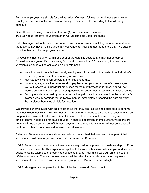Full time employees are eligible for paid vacation after each full year of continuous employment. Employees accrue vacation on the anniversary of their hire date, according to the following schedule:

One (1) week (5 days) of vacation after one (1) complete year of service Two (2) weeks (10 days) of vacation after two (2) complete years of service

Sales Managers will only accrue one week of vacation for every complete year of service, due to the fact that they have multiple three day weekends per year that add up to more than five days of vacation than all other employees accrue.

All vacations must be taken within one year of the date it is accrued and may not be carried forward to future years. If you are away from work for more than 30 days during the year, your vacation allowance will be adjusted on a pro-rata basis.

- Vacation pay for salaried and hourly employees will be paid on the basis of the individual's normal pay for a normal work week (no overtime).
- Flat rate technicians will be paid at their flag sheet rate.
- For managers, you will receive vacation pay based on your current week's base wages. You will receive your individual production for the month vacation is taken. You will not receive compensation for production generated on department gross while in your absence.
- Employees who are paid by commission will be paid vacation pay based on the individual's average weekly earnings for the twelve months immediately preceding the date on which the employee becomes eligible for vacation.

We provide our employees with paid vacation so that they are relaxed and better able to perform their jobs when they return. For this reason, we require employees to take their vacation and we *do not* permit employees to take pay in lieu of time off. In other words, at the end of the year, employees will not be paid for days not used. In case of separation of employment, vacations are not considered an earned benefit for cash payment. Hours paid for vacation will not be included in the total number of hours worked for overtime calculations.

Sales and F&I managers who wish to use their regularly scheduled weekend off as part of their vacation time will be charged vacation days for Friday and Saturday.

NOTE: Be aware that there may be times you are required to be present at the dealership or offsite for functions and events. This expectation applies to flat rate technicians, salespeople, and service advisors. Some examples of these types of events are, but not limited to: credit union sales and offsite sales events. These scheduled events will be taken into consideration when requesting vacation and could result in vacation not being approved. Please plan accordingly.

NOTE: Managers are not permitted to be off the last weekend of each month.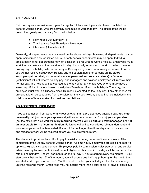## **7.4. HOLIDAYS**

Paid holidays are set aside each year for regular full time employees who have completed the benefits waiting period, who are normally scheduled to work that day. The actual dates will be determined yearly and can vary from the list below:

- New Year's Day (January 1)
- Thanksgiving (last Thursday in November)
- Christmas (December 25)

Generally, all departments may be closed on the above holidays; however, all departments may be open (sometimes only for limited hours), or only certain departments may be open. Individual employees in other departments may, on occasion, be required to work a holiday. Employees must work the day before and the day after a holiday, if normally scheduled to work, in order to receive holiday pay. If a holiday falls on Saturday or Sunday and you are not normally scheduled to work, you will not receive holiday pay. Holiday pay is 8 straight hours for persons on the clock; employees paid on straight commission (sales personnel and service advisors) or flat rate (technicians) will not receive holiday pay; and managers and salaried employees will receive their normal pay. The holiday will be counted as the day off for any employees who normally have a week day off (i.e. if the employee normally has Tuesdays off and the holiday is Thursday, the employee must work on Tuesday since Thursday is counted as their day off). If any other days off are taken, it will be subtracted from the salary for the week. Holiday pay will not be included in the total number of hours worked for overtime calculations.

### **7.5 ABSENCES / SICK DAYS**

If you will be absent from work for any reason other than a pre-approved vacation day, **you must personally call** (not have your spouse / significant other / parent call for you) **your supervisor** (not the office, not a co-worker) **every morning that you will be out, and text messages are not an acceptable form of communication**. Failure to call will be considered job abandonment and your employment will be terminated. If you will be out longer than three days, a doctor's excuse and release to work will be required before you are allowed to return.

The dealership provides time off with pay to assist you during periods of illness or injury. After completion of the 90-day benefits waiting period, full-time hourly employees are eligible to receive up to six (6) paid sick days per year. Employees paid by commission (sales personnel and service advisors) or by flat rate (technicians) are not eligible for this benefit. The days will be earned at the rate of one half day (4 hours) per month, or one full day (8 hours) earned every two months. If your start date is before the 15<sup>th</sup> of the month, you will accrue one half day (4 hours) for the month that you start work. If you start on the 15<sup>th</sup> of the month or after, your sick days will not start accruing until the following month. Employees may not accrue more than a total of six (6) days of sick leave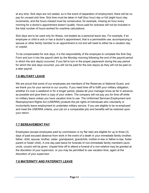at any time. Sick days are not vested, so in the event of separation of employment, there will be no pay for unused sick time. Sick time must be taken in half (four hour) day or full (eight hour) day increments, and the hours missed must be consecutive; for example, missing an hour every morning for a doctor's appointment doesn't qualify. Hours paid for sickness will not be included in the total number of hours worked for overtime calculations.

Sick days are to be used only for illness, not treated as a personal leave day. For example, if an employee or child is sick or has a doctor's appointment, that is a permissible use; accompanying a spouse or other family member to an appointment is not and will need to either be a vacation day or unpaid.

To be compensated for sick days, it is the responsibility of the employee to complete the Sick Day Form and turn it into the payroll clerk by the Monday morning following the end of the payroll period in which the sick day(s) occurred. If you fail to turn in the proper paperwork during the pay period for which the sick days occurred, you will not be paid for the sick day(s) as they will not be paid on a later payroll.

### **7.6 MILITARY LEAVE**

We are proud that some of our employees are members of the Reserves or National Guard, and we thank you for your service to our country. If you need time off to fulfill your military obligation, whether it's over a weekend or for a longer period, please let your manager know as far in advance as possible and give them a copy of your orders. The company will not pay you for time off while on military leave unless you have vacation time to use. The Uniformed Services Employment and Reemployment Rights Act (USERRA) protects the job rights of individuals who voluntarily or involuntarily leave employment to undertake military service. If you are eligible to be re-employed and meet the USERRA criteria, your job (or a comparable job) and benefits will be restored upon your return.

# **7.7 BEREAVEMENT PAY**

Employees (except employees paid by commission or by flat rate) are eligible for up to three (3) days of paid excused absence from work in the event of a death in your immediate family (mother, father, child, spouse, brother, sister, grandparent, grandchild, mother-in-law or father-in-law, foster parent or foster child). A one day paid leave for funerals of non-immediate family members (aunt, uncle, cousin) will be given. Unpaid time off to attend a funeral of a non-relative may be granted at the discretion of your supervisor, or you may be permitted to use vacation time, again at the discretion of your supervisor.

# **7.8 MATERNITY AND PATERNITY LEAVE**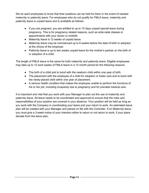We do want employees to know that their positions can be held for them in the event of needed maternity or paternity leave. For employees who do not qualify for FMLA leave, maternity and paternity leave is unpaid leave and is available as follows:

- If you are pregnant, you are entitled to up to 10 days unpaid special leave during pregnancy. This is for pregnancy related reasons, such as ante-natal classes or appointments with your doctor or midwife.
- Maternity leave is 12 weeks of unpaid leave.
- Maternity leave may be commenced up to 6 weeks before the date of birth or adoption at the choice of the employer.
- Paternity leave is up to two weeks unpaid leave for the mother's partner on the birth of or adoption of a child.

The length of FMLA leave is the same for both maternity and paternity leave. Eligible employees may take up to 12 work weeks of FMLA leave in a 12 month period for the following reasons:

- The birth of a child and to bond with the newborn child within one year of birth.
- The placement with the employee of a child for adoption or foster care and to bond with the newly-placed child within one year of placement.
- A serious health condition that makes the employee unable to perform the functions of his or her job, including incapacity due to pregnancy and for prenatal medical care.

It is important and vital that you work with your Manager to plan out the use of maternity and paternity leave. All leave needs to be coordinated and approved to ensure that the roles and responsibilities of your position are covered in your absence. Your position will be held as long as you work with the Company in coordinating your leave and your return to work. An estimated leave plan will be created with your Manager and placed on file with the Controller. If on Maternity leave, you must give a 3-week notice of your intention either to return or not return to work, if your plans deviate from the leave plan.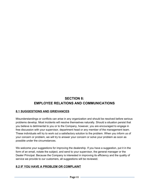# **SECTION 8: EMPLOYEE RELATIONS AND COMMUNICATIONS**

### **8.1 SUGGESTIONS AND GRIEVANCES**

Misunderstandings or conflicts can arise in any organization and should be resolved before serious problems develop. Most incidents will resolve themselves naturally. Should a situation persist that you believe is detrimental to you or to the Company, however, you are encouraged to engage in free discussion with your supervisor, department head or any member of the management team. These individuals will try to work out a satisfactory solution to the problem. When you inform us of your concern or problem, we will try to answer your concern or solve your problem as soon as possible under the circumstances.

We welcome your suggestions for improving the dealership. If you have a suggestion, put it in the form of an email, notate the subject, and send to your supervisor, the general manager or the Dealer Principal. Because the Company is interested in improving its efficiency and the quality of service we provide to our customers, all suggestions will be reviewed.

### **8.2 IF YOU HAVE A PROBLEM OR COMPLAINT**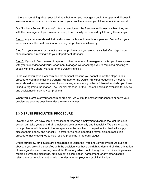If there is something about your job that is bothering you, let's get it out in the open and discuss it. We cannot answer your questions or solve your problems unless you tell us what it is we can do.

Our "Problem Solving Procedure" offers all employees the freedom to discuss anything they wish with their managers. If you have a problem, it can usually be resolved by following these steps:

Step 1: Any concerns should first be discussed with your immediate supervisor. Very often, your supervisor is in the best position to handle your problem satisfactorily.

Step 2: If your supervisor cannot solve the problem or if you are not satisfied after step 1, you should request a meeting with your Department Manager.

Step 3: If you still feel the need to speak to other members of management after you have spoken with your supervisor and your Department Manager, we encourage you to request a meeting to speak with the General Manager or the Dealer Principal.

In the event you have a concern and for personal reasons you cannot follow the steps in this procedure, you may email the General Manager or the Dealer Principal requesting a meeting. The email should include an overview of your issues, what steps you have followed, and who you have talked to regarding the matter. The General Manager or the Dealer Principal is available for advice and assistance in solving your problem.

When you inform is of your concern or problem, we will try to answer your concern or solve your problem as soon as possible under the circumstances.

### **8.3 DISPUTE RESOLUTION PROCEDURE**

Over the years, we have come to realize that resolving employment disputes thought the court system can take years and drain employees both emotionally and financially. We also know that most problems which arise in the workplace can be resolved if the parties involved will simply discuss them openly and honestly. Therefore, we have adopted a formal dispute resolution procedure that is designed to help resolve problems in the early stages.

Under our policy, employees are encouraged to utilize the Problem Solving Procedure outlined above. If you are still dissatisfied with the decision, you have the right to demand binding arbitration of any legal dispute between you and the Company which could brought in court, including claims regarding wrongful discharge, employment discrimination, harassment, or any other dispute relating to your employment or arising under labor employment or civil rights law.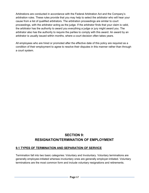Arbitrations are conducted in accordance with the Federal Arbitration Act and the Company's arbitration rules. These rules provide that you may help to select the arbitrator who will hear your cause from a list of qualified arbitrators. The arbitration proceedings are similar to court proceedings, with the arbitrator acting as the judge. If the arbitrator finds that your claim is valid, the arbitrator has the authority to award you everything a judge or jury might award you. The arbitrator also has the authority to require the parties to comply with this award. An award by an arbitrator is usually issued within months, where a court decision often takes years.

All employees who are hired or promoted after the effective date of this policy are required as a condition of their employment to agree to resolve their disputes in this manner rather than through a court system.

# **SECTION 9: RESIGNATION/TERMINATION OF EMPLOYMENT**

### **9.1 TYPES OF TERMINATION AND SEPARATION OF SERVICE**

Termination fall into two basic categories: Voluntary and Involuntary. Voluntary terminations are generally employee-initiated whereas involuntary ones are generally employer-initiated. Voluntary terminations are the most common form and include voluntary resignations and retirements.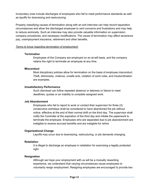Involuntary ones include discharges of employees who fail to meet performance standards as well as layoffs for downsizing and restructuring.

Properly classifying causes of termination along with an exit interview can help record separation circumstances and allow the discharged employee to vent concerns and frustrations and may help to reduce animosity. Such an interview may also provide valuable information on supervision, company procedures, and necessary modifications. The cause of termination may affect severance pay, unemployment insurance, retirement and other benefits.

#### *Terms to know regarding termination of employment:*

#### **Termination**

Employees of the Company are employed on an at-will basis, and the company retains the right to terminate an employee at any time.

#### **Misconduct**

Most disciplinary policies allow for termination on the basis of employee misconduct. Theft, dishonesty, violence, unsafe acts, violation of work rules, and insubordination are examples.

#### **Unsatisfactory Performance**

Such dismissal can follow repeated absence or lateness or failure to meet deadlines, quotas or an inability to complete assigned work.

#### **Job Abandonment**

Employees who fail to report to work or contact their supervisor for three (3) consecutive workdays shall be considered to have abandoned the job without notice, effective at the end of their normal shift on the third day. The supervisor shall notify the Controller at the expiration of the third day and initiate the paperwork to terminate the employee. Employees who are separated due to job abandonment are ineligible to receive accrued benefits and are ineligible for rehire.

### **Organizational Change**

Layoffs may occur due to downsizing, restructuring, or job demands changing.

### **Retaliation**

It is illegal to discharge an employee in retaliation for exercising a legally protected right.

### **Resignation**

Although we hope your employment with us will be a mutually rewarding experience, we understand that varying circumstances cause employees to voluntarily resign employment. Resigning employees are encouraged to provide two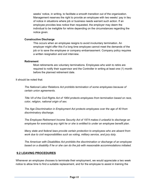weeks' notice, in writing, to facilitate a smooth transition out of the organization. Management reserves the right to provide an employee with two weeks' pay in lieu of notice in situations where job or business needs warrant such action. If an employee provides less notice than requested, the employer may deem the individual to be ineligible for rehire depending on the circumstances regarding the notice given.

#### **Constructive Discharge**

This occurs when an employee resigns to avoid involuntary termination. An employer might offer this if a long time employee cannot meet the demands of the job or to save the employee or company embarrassment. Company policy requires a written resignation and exit interview.

#### **Retirement**

Most retirements are voluntary terminations. Employees who wish to retire are required to notify their supervisor and the Controller in writing at least one (1) month before the planned retirement date.

### It should be noted that:

*The National Labor Relations Act prohibits termination of some employees because of certain union agreements.*

*Title VII of the Civil Rights Act of 1964 protects employees from termination based on race, color, religion, national origin of sex.*

*The Age Discrimination in Employment Act protects employees over the age of 40 from discriminatory discharge.*

*The Employee Retirement Income Security Act of 1974 makes it unlawful to discharge an employee for exercising any right he or she is entitled to under an employee benefit plan.*

*Many state and federal laws provide certain protection to employees who are absent from work due to civil responsibilities such as voting, military service, and jury duty.*

*The American with Disabilities Act prohibits the discrimination or discharge of an employee based on a disability if he or she can do the job with reasonable accommodations initiated.*

### **9.2 LEAVING PROCEDURES**

Whenever an employee chooses to terminate their employment, we would appreciate a two week notice to allow time to find a suitable replacement, and for the employee to assist in training the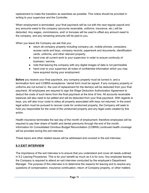replacement to make the transition as seamless as possible. This notice should be provided in writing to your supervisor and the Controller.

When employment is terminated, your final paycheck will be cut with the next regular payroll and any amounts owed to the company (accounts receivable, uniforms, insurance, etc.) will be deducted. Any wages, commissions, and/ or bonuses will be used to offset any amount owed to the company, and any remaining amounts will be paid to you.

When you leave the Company we ask that you:

- return all company property including company car, mobile phones, computers, access cards and keys, company records, paperwork and documents, identification cards, uniforms, and other relevant property;
- hand over all current work to your supervisor in order to ensure continuity of business / service;
- note that leaving the company with any digital images of data is not permissible
- hand over to your supervisor all notes of confidential information which you may have acquired during your employment.

**Before** you receive your final paycheck, any company property must be turned in, and a termination form and COBRA acceptance / denial form must be signed. If any company property or uniforms are not turned in, the cost of replacement for the items(s) will be deducted from your final paycheck. All employees are required to sign the Wage Deduction Authorization Agreement to deduct the costs of such items from the final paycheck at the time of hire. All accounts receivable balances will also need to be settled and will be deducted from your final paycheck. With regards to keys, you will also incur costs to rekey all property associated with keys not returned. In the event legal action must be pursued to recover costs for unreturned property, the Company will seek to hold you responsible for the costs of the unreturned property and any legal costs created by this action.

Health insurance terminates the last day of the month of employment; therefore employees will be required to pay their share of health and dental premiums through the end of the month. Information for Consolidated Omnibus Budget Reconciliation (COBRA) continued health coverage will be provided during the exit interview.

These topics and other related issues will be addressed and covered in the exit interview.

### **9.3 EXIT INTERVIEW**

The importance of the exit interview is to ensure that you understand and cover all needs outlined in 9.2 Leaving Procedures. This is for your benefit as much as it is for ours. Any employee leaving the Company is required to attend an exit interview conducted by the employee's Department Manager. The purpose of this interview is to determine the reasons for leaving and to resolve any questions of compensation, insurance continuation, return of Company property, or other matters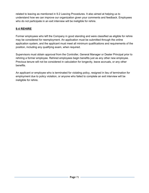related to leaving as mentioned in 9.2 Leaving Procedures. It also aimed at helping us to understand how we can improve our organization given your comments and feedback. Employees who do not participate in an exit interview will be ineligible for rehire.

# **9.4 REHIRE**

Former employees who left the Company in good standing and were classified as eligible for rehire may be considered for reemployment. An application must be submitted through the online application system, and the applicant must meet all minimum qualifications and requirements of the position, including any qualifying exam, when required.

Supervisors must obtain approval from the Controller, General Manager or Dealer Principal prior to rehiring a former employee. Rehired employees begin benefits just as any other new employee. Previous tenure will not be considered in calculation for longevity, leave accruals, or any other benefits.

An applicant or employee who is terminated for violating policy, resigned in lieu of termination for employment due to policy violation, or anyone who failed to complete an exit interview will be ineligible for rehire.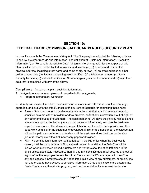# **SECTION 10: FEDERAL TRADE COMMISION SAFEGUARDS RULES SECURITY PLAN**

In compliance with the Gramm-Leach-Bliley Act, The Company has adopted the following policies to secure customer records and information. The definition of "Customer Information", "Sensitive Information", or "Personally Identifiable Data" (all terms interchangeable) for the purpose of this plan, shall include, but not be limited to: (a) first and last name; (b) a home address or other physical address, including street name and name of city or town; (c) an email address or other online contact data (i.e. instant messaging user identifier); (d) a telephone number; (e) Social Security Numbers; (f) Vehicle Identification Numbers; (g) any account numbers; and (h) any other data that is combined with any of the above.

**Compliance:** As part of its plan, each institution must:

- 1. Designate one or more employees to coordinate the safeguards;
	- Program coordinator: Controller

2. Identify and assess the risks to customer information in each relevant area of the company's operation, and evaluate the effectiveness of the current safeguards for controlling these risks;

- Sales Sales personnel and sales managers will ensure that any documents containing sensitive data are either in folders or desk drawers, so that any information is out of sight of any other employees or customers. The sales personnel will have the Privacy Notice signed immediately upon collecting any non-public, personal information, and give the customer copy to the customer. The dealership copy of this form will need to be kept with any other paperwork as a file for the customer is developed. If this form is not signed, the salesperson will not be paid a commission on the deal until the customer signs the form, as the deal jacket is incomplete without all necessary paperwork signed.
- F&I No confidential information will be left out in the F&I office when the business is closed; it will be put in a desk or filing cabinet drawer. In addition, the F&I office will be locked when business is closed. Customers and vendors should not be left alone in the office unless absolutely necessary, then all and any sensitive data must secured and out of sight before the employee leaves the office. Even when the F&I manager is in the office, any applications in progress should not be left in plain view of any customers, or employees not authorized to have access to sensitive information. Credit applications are entered into DealerTrack or another similar program, and can be sent directly to several lenders for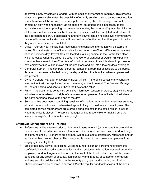approval simply by selecting lenders, with no additional information required. This process almost completely eliminates the possibility of errantly sending data to an incorrect location. Credit bureaus will be viewed on the computer screen by the F&I manager, and will be printed out only when necessary, as an additional safeguard. If it is necessary to fax applications or other supporting documents to a lender, the document(s) must be picked up off the fax machine as soon as the transmission is successfully completed, and returned to the appropriate folder. Old applications and turn-downs containing sensitive information will be stored in a secure location, and will be shredded after the required time period for which they must be retained is completed.

- Office Current year vehicle deal files containing sensitive information will be stored in locked filing cabinets in the office, which is locked when the office staff leaves at the close of each business day. Payroll files are located in a filing cabinet in the Controller's office, which is locked when the office is closed. The General Manager or Dealer Principal and controller have keys to the office. Any information pertaining to vehicle deals in process or new employee files will be moved off the desk tops and put into a locking desk overnight.
- Computer Server The computer server is located in a room not accessible to the public. Access to the server is limited during the day and the office is locked when no personnel are present.
- Owner / General Manager or Dealer Principal Office If the office contains any sensitive information, it will be kept locked when the manager is not present. The General Manager or Dealer Principal and controller have the keys to the office.
- Parts Any documents containing sensitive information (customer orders, etc.) will be kept in folders or otherwise out of sight of customers or employees. The office is locked when the parts personnel leave at the end of the day.
- Service Any documents containing sensitive information (repair orders, customer surveys, etc.) will be kept in folders or otherwise kept out of sight of customers or employees. The completed service repair orders are stored in filing cabinets in the office, which is locked when the office is closed. The service manager will be responsible for making sure the service manager's office is locked every night.

#### **Employee Management and Training**

- References will be checked prior to hiring employees who will (or who have the potential to) have access to sensitive customer information. Checking references may extend to doing a background check. All offers of employment will be subject to satisfactory references and (if applicable) background checks. This safeguard is meant to help prevent employees from engaging in identity theft.
- Employees, new as well as existing, will be required to sign an agreement to follow the confidentiality and security standards for handling customer information (covered under the employee handbook agreement located in the front of the handbook). There will be severe penalties for any breach of security, confidentiality and integrity of customer information, and any security policies set forth in the security plan, up to and including termination. These topics are also covered in section 4.2 of the regular handbook section of the book,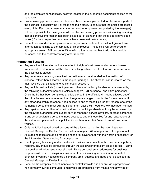and the complete confidentiality policy is located in the supporting documents section of the handbook.

- Proper closing procedures are in place and have been implemented for the various parts of the business, especially the F&I office and main office, to ensure that the offices are locked every night. Each department manager (or another employee designated by the manager) will be responsible for making sure all conditions on closing procedures (including ensuring that all sensitive information has been placed out of sight and that office doors have been locked) for their respective departments have been met before leaving.
- Receptionists and other employees who may answer the telephone will not give out any information pertaining to the company or its employees. These calls will be referred to appropriate areas: F&I personnel if the information requested has to do with a vehicle purchase, and the controller for any other requests.

#### **Information Systems**

- Any sensitive information will be stored out of sight of customers and other employees. Very sensitive information will be stored in a filing cabinet or office that will be locked when the business is closed.
- Any document containing sensitive information must be shredded as the method of disposal, rather than discarded in the regular garbage. The shredder can is located on the main level so that all departments can easily access it.
- Any vehicle deal jackets (current year and otherwise) will only be able to be accessed by the following authorized persons: sales managers, F&I personnel, and office personnel. Once the file has been completed and it is stored in the office, it will not be allowed out of the office by any personnel other than the general manger or controller for any reason. If any other dealership personnel need access to one of these files for any reason, one of the authorized personnel must pull the file for them after their "need to know" has been verified.
- Any repair orders or other information stored in the filing cabinets will only be accessed by the following authorized employees: service manager, service advisors, or office personnel. If any other dealership personnel need access to one of these files for any reason, one of the authorized personnel must pull the file for them after their "need to know" has been verified.
- Only the following authorized persons will be allowed to monitor the incoming faxes: General Manager or Dealer Principal, sales manager, F&I manager and office personnel.
- All outgoing faxes should be made using the fax cover sheet with the wording necessary for the Information Safeguarding Act compliance.
- Due to privacy laws, any and all dealership business or contacts with customers, suppliers, vendors, etc. should be conducted through the @boswellhonda.com email address – using personal email addresses is not allowed. Using personal email addresses for business purposes will result in disciplinary action, up to and including termination for repeated offenses. If you are not assigned a company email address and need one, please see the General Manager or Dealer Principal.
- Because the company cannot mandate or control firewalls and / or anti-virus programs on non-company owned computers, employees are prohibited from maintaining any type of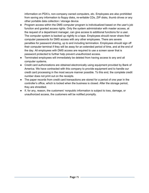information on PDA's, non-company owned computers, etc. Employees are also prohibited from saving any information to floppy disks, re-writable CDs, ZIP disks, thumb drives or any other portable data collection / storage device.

- Program access within the DMS computer program is individualized based on the user's job function and granted access rights. Only the system administrator with master access, at the request of a department manager, can give access to additional functions for a user. The computer system is backed up nightly to a tape. Employees should never share their computer passwords for DMS access with any other employees. There are severe penalties for password sharing, up to and including termination. Employees should sign off their computer terminal if they will be away for an extended period of time, and at the end of the day. All employees with DMS access are required to use a screen saver that is password protected to further help prevent unauthorized access.
- Terminated employees will immediately be deleted from having access to any and all computer systems.
- Credit card authorizations are obtained electronically using equipment provided by Bank of America. We have contracted with this company to provide equipment and to handle our credit card processing in the most secure manner possible. To this end, the complete credit number does not print out on the receipts.
- The paper records from credit card transactions are stored for a period of one year in the controller's office, which is locked when the business is closed. After the storage period, they are shredded.
- If, for any, reason, the customers' nonpublic information is subject to loss, damage, or unauthorized access, the customers will be notified promptly.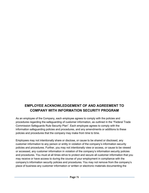# **EMPLOYEE ACKNOWLEDGEMENT OF AND AGREEMENT TO COMPANY WITH INFORMATION SECURITY PROGRAM**

As an employee of the Company, each employee agrees to comply with the policies and procedures regarding the safeguarding of customer information, as outlined in the "Federal Trade Commission Safeguards Rule Security Plan". Each employee agrees to comply with the information safeguarding policies and procedures, and any amendments or additions to these policies and procedures that the company may make from time to time.

Employees may not intentionally share or disclose, or cause to be shared or disclosed, any customer information to any person or entity in violation of the company's information security policies and procedures. Further, you may not intentionally view or access, or cause to be viewed or accessed, any customer information in violation of the company's information security policies and procedures. You must at all times strive to protect and secure all customer information that you may receive or have access to during the course of your employment in compliance with the company's information security policies and procedures. You may not remove from the company's place of business any customer information or written or electronic materials documenting the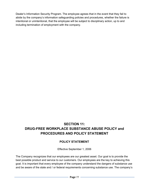Dealer's Information Security Program. The employee agrees that in the event that they fail to abide by the company's information safeguarding policies and procedures, whether the failure is intentional or unintentional, that the employee will be subject to disciplinary action, up to and including termination of employment with the company.

## **SECTION 11: DRUG-FREE WORKPLACE SUBSTANCE ABUSE POLICY and PROCEDURES AND POLICY STATEMENT**

### **POLICY STATEMENT**

Effective September 1, 2006

The Company recognizes that our employees are our greatest asset. Our goal is to provide the best possible product and service to our customers. Our employees are the key to achieving this goal. It is important that every employee of the company understand the dangers of substance use and be aware of the state and / or federal requirements concerning substance use. The company's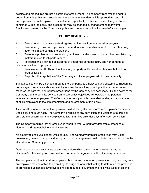policies and procedures are not a contract of employment. The company reserves the right to depart from this policy and procedures where management deems it is appropriate, and all employees are at will employees. Except where specifically prohibited by law, the guidelines contained within the policy and procedures may be changed by management at any time. Employees covered by the Company's policy and procedures will be informed of any changes.

### **POLICY OBJECTIVES**

- 1. To create and maintain a safe, drug-free working environment for all employees.
- 2. To encourage any employee with a dependence on or addiction to alcohol or other drug to seek help in overcoming the problem.
- 3. To reduce problems of absenteeism, tardiness, carelessness, and / or other unsatisfactory matters related to job performance.

4. To reduce the likelihood of incidents of accidental personal injury and / or damage to customer, visitors, or property.

- 5. To minimize the likelihood that Company property will be used for illicit alcohol and / or drug activities.
- 6. To protect the reputation of the Company and its employees within the community.

Substance use can be a serious threat to the Company, its employees and customers. Though the percentage of substance abusing employees may be relatively small, practical experience and research indicate that appropriate precautions by the Company are necessary. It is the belief of the Company that the benefits derived from these policy objectives will outweigh the potential inconvenience to employees. The Company earnestly solicits the understanding and cooperation of all its employees in the implementation and enforcement of this policy.

As a condition of employment, employees must abide by the terms of The Company's Substance Use Policy and must notify The Company in writing of any conviction of a violation of a criminal drug statute occurring in the workplace no later than five calendar days after such conviction.

The Company requires that all employees report to work without any detectable presence of alcohol or a drug metabolite in their systems.

No employee shall use alcohol while on duty. The Company prohibits employees from using, possessing, manufacturing, distributing or making arrangements to distribute drugs or alcohol while at work or on Company property.

Outside conduct of a substance use-related nature which affects an employee's work, the Company's relationship with any customer, or reflects negatively on the Company is prohibited.

The company requires that all employees submit, at any time an employee is on duty or at any time an employee may be called to be on duty, to drug and/or alcohol testing to determine the presence of prohibited substances. Employees shall be required to submit to the following types of testing,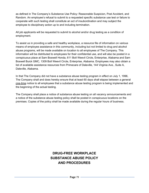as defined in The Company's Substance Use Policy: Reasonable Suspicion, Post Accident, and Random. An employee's refusal to submit to a requested specific substance use test or failure to cooperate with such testing shall constitute an act of insubordination and may subject the employee to disciplinary action up to and including termination.

All job applicants will be requested to submit to alcohol and/or drug testing as a condition of employment.

To assist us in providing a safe and healthy workplace, a resource file of information on various means of employee assistance in this community, including but not limited to drug and alcohol abuse programs, will be made available on location to all employees of The Company. This information will be distributed to employees for their confidential use, and will also be posted in a conspicuous place at Sam Boswell Honda, 611 Boll Weevil Circle, Enterprise, Alabama and Sam Boswell Buick GMC, 1309 Boll Weevil Circle, Enterprise, Alabama. Employees may also obtain a list of available assistance resources from Primecare of Daleville, 144 Virginia Ave., Suite A, Daleville, Alabama.

In that The Company did not have a substance abuse testing program in effect on July 1, 1996, The Company shall and does hereby ensure that at least 60 days shall elapse between a general one-time notice to all employees that a substance abuse testing program is being implemented and the beginning of the actual testing.

The Company shall place a notice of substance abuse testing on all vacancy announcements and a notice of the substance abuse testing policy shall be posted in conspicuous locations on the premises. Copies of the policy shall be made available during the regular hours of business.

# **DRUG-FREE WORKPLACE SUBSTANCE ABUSE POLICY AND PROCEDURES**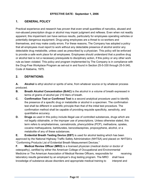### **1. GENERAL POLICY**

Practical experience and research has proven that even small quantities of narcotics, abused and non-abused prescription drugs or alcohol may impair judgment and reflexes. Even when not readily apparent, this impairment can have serious results, particularly for employees operating vehicles or potentially dangerous equipment. Drug-using employees are a threat to co-workers and themselves, and may make costly errors. For these reasons, The Company has adopted a policy that all employees must report to work without any detectable presence of alcohol and/or any detectable drug metabolite, unless used as prescribed by a physician. This policy will be enforced to provide a safe work place for all employees. Employees should understand that a positive drug or alcohol test is not a necessary prerequisite to disciplinary action, if this policy or any other work rule as been violated. This policy and program implemented by The Company is in compliance with the Drug-Free Workplace Program as set-out in and found in Section 25-5-330 through 25-5-340, Code of Alabama, 1975.

### **2. DEFINITIONS:**

**A. Alcohol** is ethyl alcohol or spirits of wine, from whatever source or by whatever process produced.

- **B. Breath Alcohol Concentration (BrAC)** is the alcohol in a volume of breath expressed in terms of grams of alcohol per 210 liters of breath.
- **C. Confirmation Test or Confirmed Test** is a second analytical procedure used to identify the presence of a specific drug or metabolite or alcohol in a specimen. The confirmation test shall be different in scientific principle than that of the initial test procedure. The confirmation method shall be capable of providing requisite specificity, sensitivity, and quantitative accuracy.
- **D. Drugs** as used in this policy include illegal use of controlled substances, drugs which are not legally obtainable, or the improper use of prescriptions. Unless otherwise stated, this term refers to amphetamines, cannabinoids, phencyclidine (PCP), methadone, opiates, cocaine methaqualone, barbiturates, benzodiazepines, propoxyphene, alcohol, or a metabolite of any of these substances.

**E. Evidential Breath Testing Device (EBT)** is used for alcohol testing which has been approved by the National Highway Traffic Safety Administration (NHTSA) and placed on NHTSA's "Conforming Products List of Evidential Breath Measurement Devices."

**F. Medical Review Officer (MRO)** is a licensed physician (medical doctor or doctor of osteopathy), certified by either the American College of Occupational and Environmental Medicine or The American Association of Medical Review Officers, responsible for receiving laboratory results generated by an employer's drug testing program. The MRO shall have knowledge of substance abuse disorders and appropriate medical training to interpret and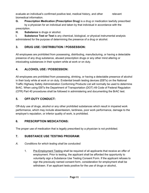evaluate an individual's confirmed positive test, medical history, and other relevant biomedical information.

**G. Prescription Medication (Prescription Drug)** is a drug or medication lawfully prescribed by a physician for an individual and taken by that individual in accordance with the prescription.

**H. Substance** is drugs or alcohol.

**I. Substance Test or Test** is any chemical, biological, or physical instrumental analysis administered for the purpose of determining the presence of a drug or alcohol.

### **3. DRUG USE / DISTRIBUTION / POSSESSION:**

All employees are prohibited from possessing, distributing, manufacturing, or having a detectable presence of any drug substance, abused prescription drugs or any other mind altering or intoxicating substances in their system while at work or on duty.

### **4. ALCOHOL USE / POSSESSION:**

All employees are prohibited from possessing, drinking, or having a detectable presence of alcohol in their body while at work or on duty. Evidential breath testing devices (EBTs) on the National Traffic Highway Safety Administration Conforming Products List will normally be used to determine BrAC. When using EBTs the Department of Transportation (DOT) 49 Code of Federal Regulation (CFR) Part 40 procedures shall be followed in administering and documenting the BrAC test.

### **5. OFF-DUTY CONDUCT:**

Off-duty use of drugs, alcohol or any other prohibited substances which result in impaired work performance, which may include absenteeism, tardiness, poor work performance, damage to the employer's reputation, or inferior quality of work, is prohibited.

### **6. PRESCRIPTION MEDICATIONS:**

The proper use of medication that is legally prescribed by a physician is not prohibited.

### **7. SUBSTANCE USE TESTING PROGRAM:**

### *A. Conditions for which testing shall be conducted:*

1. Pre-Employment Testing shall be required of all applicants that receive an offer of employment. Prior to testing, the applicant shall be afforded the opportunity to voluntarily sign a Substance Use Testing Consent Form. If the applicant refuses to sign the previously named consent form, consideration for employment shall be withdrawn. If an applicant tests positive for the use of drugs or alcohol,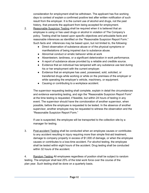consideration for employment shall be withdrawn. The applicant has five working days to contest of explain a confirmed positive test after written notification of such result from the employer. It is the current use of alcohol and drugs, not the past history, that prevents the applicant from being accepted for employment.

- 2. Reasonable Suspicion Testing shall be required when it is believed that an employee is using or has used drugs or alcohol in violation of The Company's policy. Testing shall be based upon specific objectives and articulable facts and reasonable inferences as identified on the "Reasonable Suspicion Report Form." Such facts and inferences may be based upon, but not limited to, the following:
	- Direct observation of substance abuse or of the physical symptoms or manifestations of being impaired due to substance abuse.
	- Abnormal conduct or erratic behavior while at work
	- Absenteeism, tardiness, or a significant deterioration in work performance.
	- A report of substance abuse provided by a reliable and credible source.
	- Evidence that an individual has tampered with any substance use test during his or her employment with the current employer.
	- Evidence that an employee has used, possessed, sold, solicited, or transferred drugs while working or while on the premises of the employer or while operating the employer's vehicle, machinery, or equipment.
	- Causing or contributing to a workplace accident.

The supervisor requesting testing shall complete, explain in detail the circumstances and evidence warranting testing, and sign the "Reasonable Suspicion Report Form" at the time testing is requested, if feasible, but within 24 hours of testing in any event. The supervisor should have the corroboration of another supervisor, when possible, before the employee is requested to be tested. In the absence of another supervisor, another employee may be requested to witness the observation and the "Reasonable Suspicion Report Form."

If use is suspected, the employee will be transported to the collection site by a manager for testing.

3. Post-accident Testing shall be conducted when an employee causes or contributes to any accident resulting in injury requiring more than simple first-aid treatment, damage to company property in excess of \$1,000 of damage, or when the employee causes or contributes to a loss-time accident. For alcohol testing, the employee shall be tested within eight hours of the accident. Drug testing shall be conducted within 32 hours of the accident.

4. Random Testing All employees regardless of position shall be subject to random testing. The employer shall test 25% of the total work force over the course of the plan year. Such testing shall be done on a quarterly basis.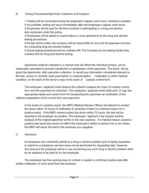#### *B. Testing Procedures/Specimen Collection and Analysis:*

1.Testing will be conducted during the employee's regular work hours, whenever possible. If not possible, testing will occur immediately after the employee's regular work hours. 2.Employees will be paid for the time involved in participating in a drug and alcohol test conducted under this policy.

3.Employees will be asked to submit saliva or urine specimens for the drug and alcohol testing procedures.

4.Except where noted, the company will be responsible for any and all expenses incurred for conducting drug and alcohol testing.

5.Actual testing procedures will be outlined with The Company by the testing facility they contract with for drug and alcohol testing.

Specimens shall be collected in a manner that will afford the individual privacy, yet be reasonably calculated to prevent substitution or adulteration of the specimen. The donor will be given the opportunity, after specimen collection, to record any information considered relevant to the test, current or recently used prescription or nonprescription medication or other medical condition, on the back of the donor's copy of the chain of custody control form.

The employee / applicant shall observe the collector prepare the chain of custody control form and the specimen for shipment. The employee / applicant shall initial and / or sign the appropriate labels and control form for transporting the specimen as verification of the collector preparation of the control form and specimen.

In the event of a positive result, the MRO (Medical Review Officer) will attempt to contact the donor within 72-hours of notification to ascertain if there is a medical reason for a positive result. If the MRO cannot contact the donor within 72 hours, the test will be reported to the employer as positive. The employee / applicant may request another analysis of the original specimen at this or her own expense. If a medical reason caused a positive test result and would not affect the employee's ability to perform his or her duties, the MRO will report the test to the employer as a negative.

#### *C. Sanctions:*

An employee who voluntarily admits to a drug or alcohol problem prior to being requested to submit to a substance use test many not be terminated for requesting help. However, any resource the employee elects to use concerning any such drug or alcohol problem shall be an expense to be paid for by the employee.

The employee has five working days to contest or explain a confirmed positive test after written notification of such result from the employer.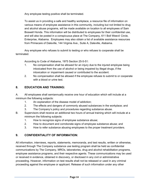Any employee testing positive shall be terminated.

To assist us in providing a safe and healthy workplace, a resource file of information on various means of employee assistance in this community, including but not limited to drug and alcohol abuse programs, will be made available on location to all employees of Sam Boswell Honda. This information will be distributed to employees for their confidential use, and will also be posted in a conspicuous place at The Company, 611 Boll Weevil Circle, Enterprise, Alabama. Employees may also obtain a list of available assistance resources from Primecare of Daleville, 144 Virginia Ave., Suite A, Daleville, Alabama.

Any employee who refuses to submit to testing or who refuses to cooperate shall be terminated.

According to Code of Alabama, 1975 Section 25-5-51:

- 1. No compensation shall be allowed for an injury due to the injured employee being intoxicated from the use of alcohol or being impaired by illegal drugs, if the intoxication or impairment caused or contributed to the accident.
- 2. No compensation shall be allowed if the employee refuses to submit to or cooperate with a blood or urine test.

### **8. EDUCATION AND TRAINING:**

A. All employees shall semiannually receive one hour of education which will include at a minimum the following subjects:

- 1. An explanation of the disease model of addiction;
- 2. The effects and dangers of commonly abused substances in the workplace; and
- 3. The Company's policy and procedures regarding substance abuse.
- B. Supervisors shall receive an additional two hours of annual training which will include at a minimum the following subjects:
	- 1. How to recognize signs of employee substance abuse;
	- 2. How to document and corroborate signs of employee substance abuse; and
	- 3. How to refer substance abusing employees to the proper treatment providers.

### **9. CONFIDENTIALITY OF INFORMATION:**

All information, interviews, reports, statements, memoranda, and test results, written or otherwise, received through The Company substance use testing program shall be held as confidential communications by The Company, MROs, laboratories, drug and alcohol rehabilitation programs, employee assistance programs, and their respective agents. These communications may be used or received in evidence, obtained in discovery, or disclosed in any civil or administrative proceeding. However, information on test results shall not be released or used in any criminal proceeding against the employee or applicant. Release of such information under any other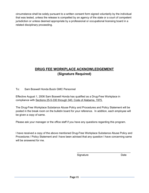circumstance shall be solely pursuant to a written consent form signed voluntarily by the individual that was tested, unless the release is compelled by an agency of the state or a court of competent jurisdiction or unless deemed appropriate by a professional or occupational licensing board in a related disciplinary proceeding.

# **DRUG FEE WORKPLACE ACKNOWLEDGEMENT (Signature Required)**

#### To: Sam Boswell Honda Buick GMC Personnel

Effective August 1, 2006 Sam Boswell Honda has qualified as a Drug-Free Workplace in compliance with Sections 25-5-330 through 340, Code of Alabama, 1975.

The Drug-Free Workplace Substance Abuse Policy and Procedures and Policy Statement will be posted in the break room on the bulletin board for your reference. In addition, each employee will be given a copy of same.

Please ask your manager or the office staff if you have any questions regarding this program.

I have received a copy of the above mentioned Drug-Free Workplace Substance Abuse Policy and Procedures / Policy Statement and I have been advised that any question I have concerning same will be answered for me.

Signature Date

\_\_\_\_\_\_\_\_\_\_\_\_\_\_\_\_\_\_\_\_\_\_\_\_\_\_\_\_\_\_\_\_\_\_\_\_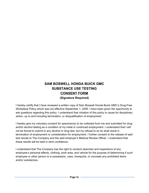# **SAM BOSWELL HONDA BUICK GMC SUBSTANCE USE TESTING CONSENT FORM (Signature Required)**

I hereby certify that I have reviewed a written copy of Sam Boswell Honda Buick GMC's Drug-Free Workplace Policy which was (is) effective September 1, 2006. I have been given the opportunity to ask questions regarding this policy. I understand that violation of this policy is cause for disciplinary action, up to and including termination, or disqualification of employment.

I hereby give my voluntary consent for specimen(s) to be collected from me and submitted for drug and/or alcohol testing as a condition of my initial or continued employment. I understand that I will not be forced to submit to any alcohol or drug test, but my refusal to so do shall result in termination of employment or consideration for employment. I further consent to the release of said test results to The Company and the said employer's Medical Review Officer. I understand that these results will be held in strict confidence.

I understand that The Company has the right to conduct searches and inspections of any employee's personal effects, clothing, work area, and vehicle for the purpose of determining if such employee or other person is in possession, uses, transports, or conceals any prohibited items and/or substances.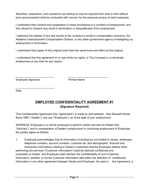Searches, inspections, and substance use testing as may be required from time to time without prior announcement shall be conducted with concern for the personal privacy of each employee.

I understand that consent and cooperation in these procedures is a condition of employment, and that refusal to consent may result in termination or disqualification from employment.

I authorize the release of any test results to the company's worker's compensation insurer(s), the Alabama Unemployment Compensation Division, or any other government agency investigating my employment or termination.

I understand that copies of this original shall have the same force and effect as the original.

I understand that this agreement in no way limits my rights, or The Company's, to terminate employment at any time for any reason.

\_\_\_\_\_\_\_\_\_\_\_\_\_\_\_\_\_\_\_\_\_\_\_\_\_\_ \_\_\_\_\_\_\_\_\_\_\_\_\_\_\_\_\_\_\_\_\_\_\_\_\_\_\_

Employee Signature **Printed Name** 

\_\_\_\_\_\_\_\_\_\_\_\_\_\_\_\_\_\_\_\_\_\_\_\_\_\_

Date

### **EMPLOYEE CONFIDENTIALITY AGREEMENT #1 (Signature Required)**

This Confidentiality Agreement (the "Agreement") is made by and between: Sam Boswell Honda Buick GMC ("Dealer"), and you ("Employee"), as of the date of your employment.

WHEREAS, Employee is or will be employed to perform certain services for Dealer (the "Services"), and in consideration of Dealer's employment or continuing employment of Employee, the parties agree as follows:

1. Employee acknowledges that all information (including but not limited to names, addresses, telephone numbers, account numbers, customer list, and demographic, financial and transaction information) relating to Dealer's customers that the Employee obtains while performing the services ("Customer Information") shall be deemed confidential and proprietary to Dealer, and Employee shall maintain the confidentiality of such Customer Information, whether or not the Customer Information falls within the definition of confidential information in any other agreement between Dealer and Employee. As used in this Agreement, a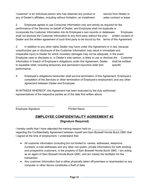"customer" is an individual person who has obtained any product or service from Dealer or any of Dealer's affiliates, including without limitation, an installment sales contract or lease.

2. Employee agrees to use Consumer Information only and strictly as required for the performance of the Services on behalf of Dealer, and Employee shall not duplicate or incorporate the Customer Information into its Employee's own records or databases. Employee shall not disclose the Customer Information to any third party without the prior written consent of Dealer and the written agreement of such third party to be bound by the terms of this Agreement.

3. In addition to any other rights Dealer may have under this Agreement or in law, because unauthorized use or disclosure of the Customer Information may result in immediate and irreparable injury to Dealer for which monetary damages may not be adequate, in the event Employee uses or discloses or, in Dealer's sole opinion, is likely to use or disclose the Customer Information in breach of Employee's obligations under this Agreement. Dealer shall be entitled to equitable relief, including temporary and permanent injunctive relief and specific performance.

4. Employee's obligations hereunder shall survive termination of this Agreement, Employee's completion of the Services or other termination of Employee's employment, and any other agreement between Dealer and Employee.

IN WITNESS WHEREOF, this Agreement has been executed by the duly authorized representatives of the respective parties as of the date first written above.

\_\_\_\_\_\_\_\_\_\_\_\_\_\_\_\_\_\_\_\_\_\_\_\_\_\_ \_\_\_\_\_\_\_\_\_\_\_\_\_\_\_\_\_\_\_\_\_\_\_\_\_\_\_

Employee Signature **Printed Name** 

### **EMPLOYEE CONFIDENTIALITY AGREEMENT #2 (Signature Required)**

I hereby certify that I have attended the training session held on regarding the Confidentiality Agreement between myself and Sam Boswell Honda Buick GMC that I signed at the time of employment. I understand that:

- All customer information (including but not limited to: names, addresses, telephone numbers, e-mail addresses and any other non-public, private information) for both existing and prospective customers, is the property of Sam Boswell Honda Buick GMC. I am acting as an agent of Sam Boswell Honda Buick GMC, and am merely the facilitator for the transaction.
- Any customer information that is either physically taken off-premises or downloaded on any computer or other device constitutes a theft of data.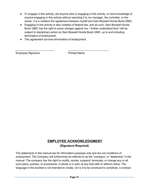- If I engage in this activity, aid anyone else in engaging in this activity, or have knowledge of anyone engaging in this activity without reporting it to my manager, the controller, or the owner, it is a violation the agreement between myself and Sam Boswell Honda Buick GMC.
- Engaging in this activity is also violation of federal law, and as such, Sam Boswell Honda Buick GMC has the right to press charges against me. I further understand that I will be subject to disciplinary action by Sam Boswell Honda Buick GMC, up to and including termination of employment.
- This agreement survives termination of employment.

\_\_\_\_\_\_\_\_\_\_\_\_\_\_\_\_\_\_\_\_\_\_\_\_\_\_ \_\_\_\_\_\_\_\_\_\_\_\_\_\_\_\_\_\_\_\_\_\_\_\_\_\_\_

Employee Signature **Printed Name** 

## **EMPLOYEE ACKNOWLEDGMENT (Signature Required)**

The statements in this manual are for information purposes only and are not conditions of employment. The Company will furthermore be referred to as the "company" or "dealership" in the manual. The company has the right to modify, revoke, suspend, terminate, or change any or all such plans, policies, or procedures, in whole or in part, at any time with or without notice. The language in this booklet is not intended to create, nor is it to be construed to constitute, a contract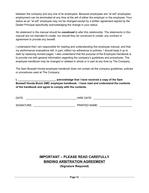between the company and any one of its employees. Because employees are "at will" employees, employment can be terminated at any time at the will of either the employer or the employee. Your status as an "at will" employee may not be changed except by a written agreement signed by the Dealer Principal specifically acknowledging the change in your status.

*No statement in the manual should be construed to alter this relationship. The statements in this manual are not intended to create, nor should they be construed to create, any contract or agreement to provide any benefit.*

I understand that I am responsible for reading and understanding this employee manual, and that my performance evaluations will, in part, reflect my adherence to policies. I should keep it up to date by replacing revised pages. I also understand that the purpose of the Employee Handbook is to provide me with general information regarding the company's guidelines and procedures. The employee handbook may be changed or deleted in whole or in part at any time by The Company.

The Sam Boswell Honda employee handbook does not contain all the company guidelines, policies or procedures used at The Company.

**I, \_\_\_\_\_\_\_\_\_\_\_\_\_\_\_\_\_\_\_\_\_\_\_\_\_, acknowledge that I have received a copy of the Sam Boswell Honda Buick GMC employee handbook. I have read and understand the contents of the handbook and agree to comply with the contents.**

| DATE:      | <b>HIRE DATE:</b>    |
|------------|----------------------|
| SIGNATURE: | <b>PRINTED NAME:</b> |

# **IMPORTANT – PLEASE READ CAREFULLY BINDING ARBITRATION AGREEMENT**

**(Signature Required)**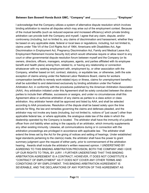#### **Between Sam Boswell Honda Buick GMC, "Company" and \_\_\_\_\_\_\_\_\_\_\_\_\_\_\_\_\_, "Employee"**

I acknowledge that the Company utilizes a system of alternative dispute resolution which involves binding arbitration to resolve all disputes which may arise out of the employment context. Because of the mutual benefits (such as reduced expense and increased efficiency) which private binding arbitration can provide both the Company and myself, I agree that any claim, dispute, and/or controversy (including, but no limited to, any claims of discrimination and harassment, whether they be based on any applicable state, federal or local laws or regulations, including, but not limited to, claims under Title VII of the Civil Rights Act of 1964, Americans with Disabilities Act, Age Discrimination in Employment Act, Pregnancy Discrimination Act, Family and Medical Leave Act, Employment Retirement Income Security Act) which would otherwise require or allow resort to any court or other governmental dispute resolution forum between myself and the Company (or its owners, directors, officers, managers, employees, agents, and parties affiliated with its employee benefit and health plans) arising from, related to, or having any relationship or connection whatsoever with my seeking employment with, employment by, or other association with the Company, whether based on tort, contract, statutory, or equitable law, or otherwise, (with the sole exception of claims arising under the National Labor Relations Board, claims for workers compensation benefits to remedy work-related injury or illness, claims for unemployment benefits) shall be submitted to and determined exclusively by binding arbitration under the Federal Arbitration Act, in conformity with the procedures published by the American Arbitration Association (AAA). Any arbitration initiated under this Agreement shall be solely conducted between the above parties to include their affiliates, successors or assigns, and under no circumstances shall this Agreement allow or authorize arbitration of any claims as parties to a class action or class arbitration. Any arbitrator herein shall be approved and listed by AAA, and shall be selected according to AAA procedures. Resolution of the dispute shall be based solely upon the time periods for filing, the law and remedies governing the claims and defenses pleaded, and the arbitrator may not invoke any basis (including, but not limited to, notions of "just cause") other than applicable federal law, or where applicable, the analogous state law of the state in which the dealership operated by the Company is located. The arbitrator shall have the immunity of a judicial officer from civil liability when acting in the capacity of an arbitrator, which immunity supplements any other existing immunity. Likewise, all communications during or in connection with the arbitration proceedings are privileged in accordance with applicable law. The arbitrator shall extend the times set by the Act for the giving of notices and setting of hearings. Under established legal standards pertaining to the claim(s) made, the arbitrator shall have the power to grant summary judgment upon the request of either party, prior to commencement of the arbitration hearing. Awards shall include the arbitrator's written reasoned opinion. I UNDERSTAND BY AGREEING TO THIS BINDING ARBITRATION PROVISION, BOTH THE COMPANY AND I GIVE UP OUR RIGHTS TO TRIAL BY JURY. I FURTHER UNDERSTAND THAT THIS BINDING ARBITRATION AGREEMENT IS A CONTRACT; HOWEVER, IT DOES NOT CONSTITUTE A "CONTRACT OF EMPLOYMENT" AS IT DOES NOT COVER ANY OTHER TERMS AND CONDITIONS OF MY EMPLOYMENT. THIS BINDING ARBITRATION AGREEMENT IS SEVERABLE, AND THE DECLARATIONS OF ANY PORTION OF THIS AGREEMENT AS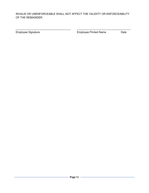#### INVALID OR UNENFORCEABLE SHALL NOT AFFECT THE VALIDITY OR ENFORCEABILITY OF THE REMAINDER.

\_\_\_\_\_\_\_\_\_\_\_\_\_\_\_\_\_\_\_\_\_\_\_\_\_\_\_\_\_\_\_\_\_\_\_\_\_ \_\_\_\_\_\_\_\_\_\_\_\_\_\_\_\_\_\_\_\_\_\_\_\_\_\_\_\_\_\_\_\_\_\_\_\_

Employee Signature **Employee Printed Name** Date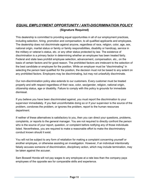# *EQUAL EMPLOYMENT OPPORTUNITY / ANTI-DISCRIMINATION POLICY* **(Signature Required)**

This dealership is committed to providing equal opportunities in all of our employment practices, including selection, hiring, promotion and compensation, to all qualified applicants and employees. The dealership does not discriminate against anyone, regardless of race, religion, color, age, sex, national origin, marital status or family or family responsibilities, disability or handicap, service in the military or veteran's status, etc. or any other status protected by law. The existence of discrimination is a primary factor in determining whether an employee has been treated fairly. Federal and state laws prohibit employee selection, advancement, compensation, etc., on the basis of certain factors and for good reason. The prohibited factors are irrelevant to the selection of the best candidate or employee for the position. While an employer must be "discriminating" in selecting the person best qualified for the position, the decision must not be based to any extent on any prohibited factors. Employers may be discriminating, but may not unlawfully discriminate.

Our non-discrimination policy also extends to our customers. Every customer must be treated properly and with respect regardless of their race, color, sex/gender, religion, national origin, citizenship status, age or disability. Failure to comply with this policy is grounds for immediate dismissal.

If you believe you have been discriminated against, you must report the discrimination to your supervisor immediately. If you feel uncomfortable doing so or if your supervisor is the source of the problem, condones the problem, or ignores the problem, report to the human resources department.

If neither of these alternatives is satisfactory to you, then you can direct your questions, problems, complaints, or reports to the general manager. You are not required to directly confront the person who is the source of your report, question, or complaint before notifying any of those individuals listed. Nevertheless, you are required to make a reasonable effort to make the discriminatory conduct known should it exist.

You will not be subject to any form of retaliation for making a complaint concerning yourself or another employee, or otherwise assisting an investigation. However, if an individual intentionally falsely accuses someone of discrimination, disciplinary action, which may include termination, may be taken against the accuser.

Sam Boswell Honda will not pay wages to any employee at a rate less than the company pays employees of the opposite sex for comparable skills and experience.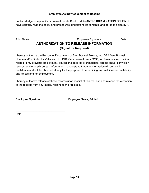#### **Employee Acknowledgement of Receipt**

I acknowledge receipt of Sam Boswell Honda Buick GMC's **ANTI-DISCRIMINATION POLICY.** I have carefully read the policy and procedures, understand its contents, and agree to abide by it.

\_\_\_\_\_\_\_\_\_\_\_\_\_\_\_\_\_\_\_\_\_\_\_\_\_\_\_\_\_\_\_\_\_\_\_\_ \_\_\_\_\_\_\_\_\_\_\_\_\_\_\_\_\_\_\_\_\_\_\_\_\_\_\_\_\_\_\_\_\_\_\_

Print Name **Employee Signature** Date

# **AUTHORIZATION TO RELEASE INFORMATION (Signature Required)**

I hereby authorize the Personnel Department of Sam Boswell Motors, Inc. DBA Sam Boswell Honda and/or OB Motor Vehicles, LLC DBA Sam Boswell Buick GMC, to obtain any information related to my previous employment, educational records or transcripts, arrests and/or conviction records, and/or credit bureau information. I understand that any information will be held in confidence and will be obtained strictly for the purpose of determining my qualifications, suitability and fitness and for employment.

I hereby authorize release of these records upon receipt of this request, and release the custodian of the records from any liability relating to their release.

\_\_\_\_\_\_\_\_\_\_\_\_\_\_\_\_\_\_\_\_\_\_\_\_\_\_\_\_\_\_\_\_\_ \_\_\_\_\_\_\_\_\_\_\_\_\_\_\_\_\_\_\_\_\_\_\_\_\_\_\_\_\_\_\_

\_\_\_\_\_\_\_\_\_\_\_\_\_\_\_\_\_\_\_\_\_\_\_\_\_\_\_\_\_\_\_\_\_

Employee Signature Employee Name, Printed

Date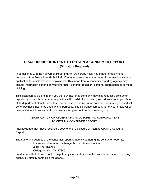# **DISCLOSURE OF INTENT TO OBTAIN A CONSUMER REPORT (Signature Required)**

In compliance with the Fair Credit Reporting Act, we hereby notify you that for employment purposes, Sam Boswell Honda Buick GMC may request a consumer report in connection with your application for employment or employment. This report from a consumer reporting agency may include information bearing on your character, general reputation, personal characteristics or mode of living.

This disclosure is also to inform you that our insurance company may also request a consumer report on you, which under normal practice will consist of your driving record from the appropriate state department of motor vehicles. The purpose of our insurance company requesting a report will be for business insurance underwriting purposes. The insurance company is not your employer or prospective employer and will not make any employment decision relating to you.

#### CERTIFICATION OF RECEIPT OF DISCLOSURE AND AUTHORIZATION TO OBTAIN A CONSUMER REPORT

I acknowledge that I have received a copy of the "Disclosure of Intent to Obtain a Consumer Report."

The name and address of the consumer reporting agency gathering the consumer report is:

Insurance Information Exchange Account Administration 3001 East Bypass

College Station, TX 77845

I understand that I have a right to dispute any inaccurate information with the consumer reporting agency by directly contacting the agency.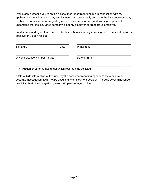I voluntarily authorize you to obtain a consumer report regarding me in connection with my application for employment or my employment. I also voluntarily authorize the insurance company to obtain a consumer report regarding me for business insurance underwriting purposes. I understand that the insurance company is not my employer or prospective employer.

I understand and agree that I can revoke this authorization only in writing and the revocation will be effective only upon receipt.

| Signature                       | Date | <b>Print Name</b> |  |
|---------------------------------|------|-------------------|--|
| Driver's License Number - State |      | Date of Birth *   |  |

Print Maiden or other names under which records may be listed

\*Date of birth information will be used by the consumer reporting agency to try to ensure an accurate investigation. It will not be used in any employment decision. The Age Discrimination Act prohibits discrimination against persons 40 years of age or older.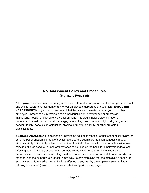# **No Harassment Policy and Procedures (Signature Required)**

All employees should be able to enjoy a work place free of harassment, and this company does not and will not tolerate harassment of any of our employees, applicants or customers. **EMPLOYEE HARASSMENT** is any unwelcome conduct that illegally discriminates against you or another employee, unreasonably interferes with an individual's work performance or creates an intimidating, hostile, or offensive work environment. This would include discrimination or harassment based upon an individual's age, race, color, creed, national origin, religion, gender, gender identity, genetic characteristics, physical or mental disability, or other protected classifications.

**SEXUAL HARASSMENT** is defined as unwelcome sexual advances, requests for sexual favors, or other verbal or physical conduct of sexual nature where submission to such conduct is made, either explicitly or implicitly, a term or condition of an individual's employment; or submission to or rejection of such conduct is used or threatened to be used as the basis for employment decisions affecting such individual; or such unreasonable conduct interferes with an individual's work performance or creates an intimidating, hostile, or offensive work environment. In other words, no manager has the authority to suggest, in any way, to any employee that the employee's continued employment or future advancement will be affected in any way by the employee entering into (or refusing to enter into) any form of personal relationship with the manager.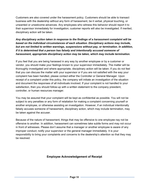Customers are also covered under the harassment policy. Customers should be able to transact business with the dealership without any form of harassment, be it verbal, physical touching, or unwanted or unwelcome advances. Any employees who witness this behavior should report it to their supervisor immediately for investigation; customer reports will also be investigated. If merited, disciplinary action will be taken.

#### *Any disciplinary action taken in response to the findings of a harassment complaint will be based on the individual circumstances of each situation. Disciplinary actions may include, but are not limited to written warnings, suspensions without pay, or termination. In addition, if it is determined that a person has falsely and intentionally accused someone of harassment, appropriate disciplinary action may be taken, which may include termination.*

If you feel that you are being harassed in any way by another employee or by a customer or vendor, you should make your feelings known to your supervisor immediately. The matter will be thoroughly investigated and where appropriate, disciplinary action will be taken. If you do not feel that you can discuss the matter with your supervisor or if you are not satisfied with the way your complaint has been handled, please contact either the Controller or General Manager. Upon receipt of a complaint under this policy, the company will initiate an investigation of the situation and document the responses of all individuals involved. If your complaint is not handled to your satisfaction, then you should follow-up with a written statement to the company president, controller, or human resources manager.

You may be assured that your complaint will be kept as confidential as possible. You will not be subject to any penalties or any form of retaliation for making a complaint concerning yourself or another employee, or otherwise assisting an investigation. However, if an individual intentionally falsely accuses someone of harassment, disciplinary action, which may include termination, may be taken against the accuser.

Because of the nature of harassment, things that may be offensive to one employee nay not be offensive to another. In addition, harassment can sometimes take subtle forms and may not occur in front of witnesses. Please don't assume that a manager or another employee is aware of any improper conduct; notify your supervisor or the general manager immediately. It is your responsibility to bring your complaints and concerns to the dealership's attention so that they may be resolved.

#### **Employee Acknowledgement of Receipt**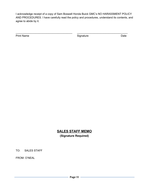I acknowledge receipt of a copy of Sam Boswell Honda Buick GMC's NO HARASSMENT POLICY AND PROCEDURES. I have carefully read the policy and procedures, understand its contents, and agree to abide by it.

\_\_\_\_\_\_\_\_\_\_\_\_\_\_\_\_\_\_\_\_\_\_\_\_\_\_\_\_\_\_\_\_\_\_\_\_\_\_ \_\_\_\_\_\_\_\_\_\_\_\_\_\_\_\_\_\_\_\_\_\_\_\_\_\_\_\_\_\_\_\_\_\_

Print Name Date Contract Contract Contract Contract Contract Contract Contract Contract Contract Contract Contract Contract Contract Contract Contract Contract Contract Contract Contract Contract Contract Contract Contract

# **SALES STAFF MEMO**

**(Signature Required)**

TO: SALES STAFF

FROM: O'NEAL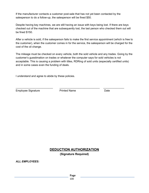If the manufacturer contacts a customer post-sale that has not yet been contacted by the salesperson to do a follow-up, the salesperson will be fined \$50.

Despite having key machines, we are still having an issue with keys being lost. If there are keys checked out of the machine that are subsequently lost, the last person who checked them out will be fined \$150.

After a vehicle is sold, if the salesperson fails to make the first service appointment (which is free to the customer), when the customer comes in for the service, the salesperson will be charged for the cost of the oil change.

The mileage must be checked on every vehicle, both the sold vehicle and any trades. Going by the customer's guestimation on trades or whatever the computer says for sold vehicles is not acceptable. This is causing a problem with titles, RDRing of sold units (especially certified units) and in some cases even the funding of deals.

I understand and agree to abide by these policies.

Employee Signature **Printed Name Printed Name Printed Name** 

\_\_\_\_\_\_\_\_\_\_\_\_\_\_\_\_\_\_\_\_\_\_\_\_\_ \_\_\_\_\_\_\_\_\_\_\_\_\_\_\_\_\_\_\_\_\_\_\_\_\_\_\_ \_\_\_\_\_\_\_\_\_\_\_\_\_\_

### **DEDUCTION AUTHORIZATION (Signature Required)**

*ALL EMPLOYEES:*

**Page**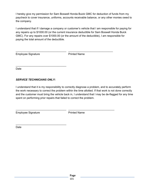I hereby give my permission for Sam Boswell Honda Buick GMC for deduction of funds from my paycheck to cover insurance, uniforms, accounts receivable balance, or any other monies owed to the company.

I understand that if I damage a company or customer's vehicle that I am responsible for paying for any repairs up to \$1000.00 (or the current insurance deductible for Sam Boswell Honda Buick GMC). For any repairs over \$1000.00 (or the amount of the deductible), I am responsible for paying the total amount of the deductible.

\_\_\_\_\_\_\_\_\_\_\_\_\_\_\_\_\_\_\_\_\_\_\_\_\_\_\_\_\_\_\_\_\_\_ \_\_\_\_\_\_\_\_\_\_\_\_\_\_\_\_\_\_\_\_\_\_\_\_\_\_\_\_\_\_

Employee Signature **Printed Name** 

Date

#### *SERVICE TECHNICIANS ONLY:*

\_\_\_\_\_\_\_\_\_\_\_\_\_\_\_\_\_\_\_\_\_\_\_\_\_\_\_\_\_\_\_\_\_\_

\_\_\_\_\_\_\_\_\_\_\_\_\_\_\_\_\_\_\_\_\_\_\_\_\_\_\_\_\_\_\_\_\_\_

I understand that it is my responsibility to correctly diagnose a problem, and to accurately perform the work necessary to correct the problem within the time allotted. If that work is not done correctly and the customer must bring the vehicle back in, I understand that I may be de-flagged for any time spent on performing prior repairs that failed to correct the problem.

Employee Signature **Printed Name** 

\_\_\_\_\_\_\_\_\_\_\_\_\_\_\_\_\_\_\_\_\_\_\_\_\_\_\_\_\_\_\_\_\_\_ \_\_\_\_\_\_\_\_\_\_\_\_\_\_\_\_\_\_\_\_\_\_\_\_\_\_\_\_\_\_\_

Date